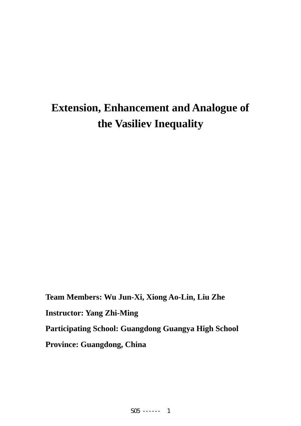# **Extension, Enhancement and Analogue of the Vasiliev Inequality**

**Team Members: Wu Jun-Xi, Xiong Ao-Lin, Liu Zhe Instructor: Yang Zhi-Ming Participating School: Guangdong Guangya High School Province: Guangdong, China**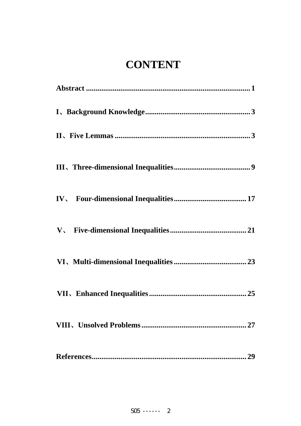# **CONTENT**

| 27 |
|----|
|    |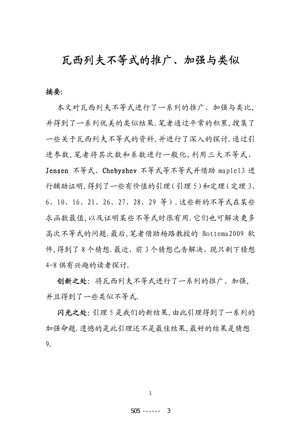## 瓦西列夫不等式的推广、加强与类似

### 摘要:

本文对瓦西列夫不等式进行了一系列的推广、加强与类比, 并得到了一系列优美的类似结果.笔者通过平常的积累,搜集了 一些关于瓦西列夫不等式的资料,并进行了深入的探讨.通过引 进参数,笔者将其次数和系数进行一般化,利用三大不等式、 Jensen 不等式、Chebyshev 不等式等不等式并借助 maple13 进 行辅助证明,得到了一些有价值的引理(引理 5)和定理(定理 3、 6、10、16、21、26、27、28、29 等).这些新的不等式在某些 求函数最值,以及证明某些不等式时很有用.它们也可解决更多 高次不等式的问题.最后,笔者借助杨路教授的 Bottema2009 软 件,得到了8个猜想. 最近, 前3个猜想已告解决, 现只剩下猜想 4-8 供有兴趣的读者探讨.

创新之处:将瓦西列夫不等式进行了一系列的推广、加强, 并且得到了一些类似不等式.

闪光之处:引理 5 是我们的新结果,由此引理得到了一系列的 加强命题.遗憾的是此引理还不是最佳结果,最好的结果是猜想 9.

1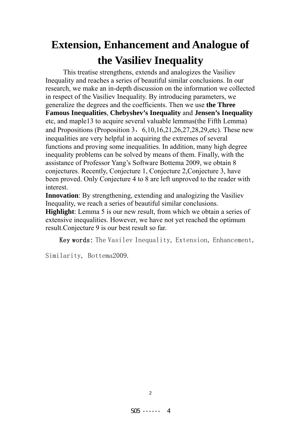# **Extension, Enhancement and Analogue of the Vasiliev Inequality**

This treatise strengthens, extends and analogizes the Vasiliev Inequality and reaches a series of beautiful similar conclusions. In our research, we make an in-depth discussion on the information we collected in respect of the Vasiliev Inequality. By introducing parameters, we generalize the degrees and the coefficients. Then we use **the Three Famous Inequalities**, **Chebyshev's Inequality** and **Jensen's Inequality** etc, and maple13 to acquire several valuable lemmas(the Fifth Lemma) and Propositions (Proposition 3,  $6,10,16,21,26,27,28,29$ , etc). These new inequalities are very helpful in acquiring the extremes of several functions and proving some inequalities. In addition, many high degree inequality problems can be solved by means of them. Finally, with the assistance of Professor Yang's Software Bottema 2009, we obtain 8 conjectures. Recently, Conjecture 1, Conjecture 2,Conjecture 3, have been proved. Only Conjecture 4 to 8 are left unproved to the reader with interest.

**Innovation**: By strengthening, extending and analogizing the Vasiliev Inequality, we reach a series of beautiful similar conclusions.

**Highlight**: Lemma 5 is our new result, from which we obtain a series of extensive inequalities. However, we have not yet reached the optimum result.Conjecture 9 is our best result so far.

Key words: The Vasilev Inequality, Extension, Enhancement,

Similarity, Bottema2009.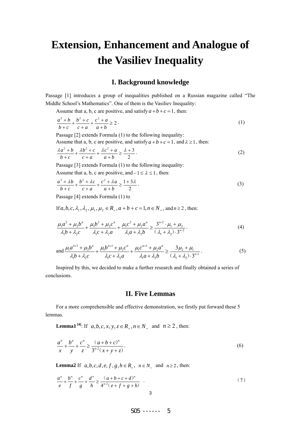## **Extension, Enhancement and Analogue of the Vasiliev Inequality**

#### **I. Background knowledge**

Passage [1] introduces a group of inequalities published on a Russian magazine called "The Middle School's Mathematics". One of them is the Vasiliev Inequality:

Assume that a, b, c are positive, and satisfy  $a+b+c=1$ , then:

$$
\frac{a^2 + b}{b + c} + \frac{b^2 + c}{c + a} + \frac{c^2 + a}{a + b} \ge 2.
$$
 (1)

Passage [2] extends Formula (1) to the following inequality:

Assume that a, b, c are positive, and satisfy  $a+b+c=1$ , and  $\lambda \ge 1$ , then:

$$
\frac{\lambda a^2 + b}{b + c} + \frac{\lambda b^2 + c}{c + a} + \frac{\lambda c^2 + a}{a + b} \ge \frac{\lambda + 3}{2}.
$$
 (2)

Passage [3] extends Formula (1) to the following inequality:

Assume that a, b, c are positive, and  $-1 \le \lambda \le 1$ , then:

$$
\frac{a^2 + \lambda b}{b + c} + \frac{b^2 + \lambda c}{c + a} + \frac{c^2 + \lambda a}{a + b} \ge \frac{1 + 3\lambda}{2} \tag{3}
$$

Passage [4] extends Formula (1) to

If  $a, b, c, \lambda_1, \lambda_2, \mu_1, \mu_2 \in R$ ,,  $a+b+c=1$ ,  $n \in N$ , and  $n \ge 2$ , then:

$$
\frac{\mu_1 a^2 + \mu_2 b^n}{\lambda_1 b + \lambda_2 c} + \frac{\mu_1 b^2 + \mu_2 c^n}{\lambda_1 c + \lambda_2 a} + \frac{\mu_1 c^2 + \mu_2 a^n}{\lambda_1 a + \lambda_2 b} \ge \frac{3^{n-2} \cdot \mu_1 + \mu_2}{(\lambda_1 + \lambda_2) \cdot 3^{n-2}}.
$$
\n(4)

and 
$$
\frac{\mu_1 a^{n+1} + \mu_2 b^n}{\lambda_1 b + \lambda_2 c} + \frac{\mu_1 b^{n+1} + \mu_2 c^n}{\lambda_1 c + \lambda_2 a} + \frac{\mu_1 c^{n+1} + \mu_2 a^n}{\lambda_1 a + \lambda_2 b} \ge \frac{3\mu_2 + \mu_1}{(\lambda_1 + \lambda_2) \cdot 3^{n-1}}.
$$
 (5)

Inspired by this, we decided to make a further research and finally obtained a series of conclusions.

#### **II. Five Lemmas**

For a more comprehensible and effective demonstration, we firstly put forward these 5 lemmas.

**Lemma1**<sup>[4]</sup>: If  $a, b, c, x, y, z \in R$ ,  $n \in N$  and  $n \ge 2$ , then:

$$
\frac{a^n}{x} + \frac{b^n}{y} + \frac{c^n}{z} \ge \frac{(a+b+c)^n}{3^{n-2}(x+y+z)}.
$$
\n(6)

**Lemma2** If  $a, b, c, d, e, f, g, h \in R_+$ ,  $n \in N_+$  and  $n \ge 2$ , then:

$$
\frac{a^n}{e} + \frac{b^n}{f} + \frac{c^n}{g} + \frac{d^n}{h} \ge \frac{(a+b+c+d)^n}{4^{n-2}(e+f+g+h)}
$$
\n(7)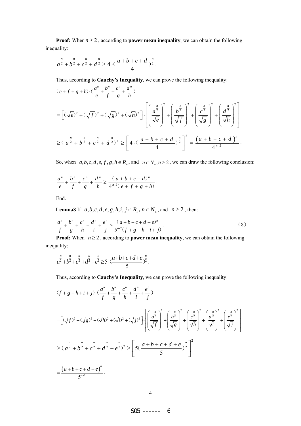**Proof:** When  $n \geq 2$ , according to **power mean inequality**, we can obtain the following inequality:

$$
a^{\frac{n}{2}} + b^{\frac{n}{2}} + c^{\frac{n}{2}} + d^{\frac{n}{2}} \ge 4 \cdot \left( \frac{a+b+c+d}{4} \right)^{\frac{n}{2}}.
$$

Thus, according to **Cauchy's Inequality**, we can prove the following inequality:

$$
(e+f+g+h)\cdot\left(\frac{a^n}{e}+\frac{b^n}{f}+\frac{c^n}{g}+\frac{d^n}{h}\right)
$$
\n
$$
= \left[ (\sqrt{e})^2 + (\sqrt{f})^2 + (\sqrt{g})^2 + (\sqrt{h})^2 \right] \cdot \left[ \left( \frac{a^{\frac{n}{2}}}{\sqrt{e}} \right)^2 + \left( \frac{b^{\frac{n}{2}}}{\sqrt{f}} \right)^2 + \left( \frac{c^{\frac{n}{2}}}{\sqrt{g}} \right)^2 + \left( \frac{d^{\frac{n}{2}}}{\sqrt{h}} \right)^2 \right]
$$
\n
$$
\geq (a^{\frac{n}{2}} + b^{\frac{n}{2}} + c^{\frac{n}{2}} + d^{\frac{n}{2}})^2 \geq \left[ 4 \cdot \left( \frac{a+b+c+d}{4} \right)^{\frac{n}{2}} \right]^2 = \frac{\left( a+b+c+d \right)^n}{4^{n-2}}.
$$

So, when  $a, b, c, d, e, f, g, h \in R_+$ , and  $n \in N_+, n \ge 2$ , we can draw the following conclusion:

$$
\frac{a^{n}}{e} + \frac{b^{n}}{f} + \frac{c^{n}}{g} + \frac{d^{n}}{h} \ge \frac{(a+b+c+d)^{n}}{4^{n-2}(e+f+g+h)}.
$$

End.

**Lemma3** If  $a, b, c, d, e, g, h, i, j \in R_+, n \in N_+$ , and  $n \ge 2$ , then:

$$
\frac{a^n}{f} + \frac{b^n}{g} + \frac{c^n}{h} + \frac{d^n}{i} + \frac{e^n}{j} \ge \frac{(a+b+c+d+e)^n}{5^{n-2}(f+g+h+i+j)}.
$$
\n(8)

**Proof:** When  $n \geq 2$ , according to **power mean inequality**, we can obtain the following inequality:

$$
a^{\frac{n}{2}}+b^{\frac{n}{2}}+c^{\frac{n}{2}}+d^{\frac{n}{2}}+e^{\frac{n}{2}} \geq 5 \cdot \frac{(a+b+c+d+e}{5})^{\frac{n}{2}}.
$$

Thus, according to **Cauchy's Inequality**, we can prove the following inequality:

$$
(f+g+h+i+j)\cdot\left(\frac{a^{n}}{f}+\frac{b^{n}}{g}+\frac{c^{n}}{h}+\frac{d^{n}}{i}+\frac{e^{n}}{j}\right)
$$
\n
$$
= [(\sqrt{f})^{2}+(\sqrt{g})^{2}+(\sqrt{h})^{2}+(\sqrt{i})^{2}+(\sqrt{j})^{2}] \cdot \left[\left(\frac{a^{\frac{n}{2}}}{\sqrt{f}}\right)^{2}+\left(\frac{b^{\frac{n}{2}}}{\sqrt{g}}\right)^{2}+\left(\frac{c^{\frac{n}{2}}}{\sqrt{h}}\right)^{2}+\left(\frac{a^{\frac{n}{2}}}{\sqrt{i}}\right)^{2}+\left(\frac{a^{\frac{n}{2}}}{\sqrt{j}}\right)^{2}\right]
$$
\n
$$
\geq (a^{\frac{n}{2}}+b^{\frac{n}{2}}+c^{\frac{n}{2}}+d^{\frac{n}{2}}+e^{\frac{n}{2}})^{2} \geq \left[5(\frac{a+b+c+d+e}{5})^{\frac{n}{2}}\right]^{2}
$$
\n
$$
= \frac{(a+b+c+d+e)^{n}}{5^{n^{2}}}.
$$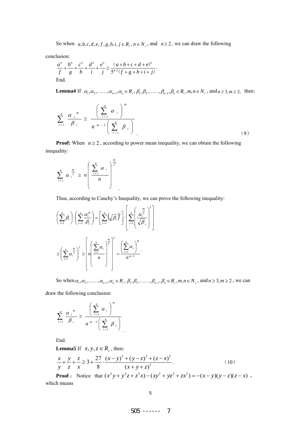So when  $a, b, c, d, e, f, g, h, i, j \in R_+, n \in N_+$ , and  $n \ge 2$ , we can draw the following

conclusion:

$$
\frac{a^n}{f} + \frac{b^n}{g} + \frac{c^n}{h} + \frac{d^n}{i} + \frac{e^n}{j} \ge \frac{(a+b+c+d+e)^n}{5^{n-2}(f+g+h+i+j)}.
$$
  
End.

**Lemma4** If  $\alpha_1, \alpha_2, \ldots, \alpha_{n-1}, \alpha_n \in R_+, \beta_1, \beta_2, \ldots, \beta_{n-1}, \beta_n \in R_+, m, n \in N_+$ , and  $n \ge 3, m \ge 2$ , then:

$$
\sum_{i=1}^{n} \frac{\alpha_{i}^{m}}{\beta_{i}} \ge \frac{\left(\sum_{i=1}^{n} \alpha_{i}\right)^{m}}{n^{m-2}\left(\sum_{i=1}^{n} \beta_{i}\right)}
$$
\n(9)

**Proof:** When  $n \geq 2$ , according to power mean inequality, we can obtain the following inequality:

$$
\sum_{i=1}^{n} \alpha_i^{\frac{m}{2}} \geq n \left( \frac{\sum_{i=1}^{n} \alpha_i}{n} \right)^{\frac{m}{2}}
$$

Thus, according to Cauchy's Inequality, we can prove the following inequality:

.

$$
\left(\sum_{i=1}^{n} \beta_{i}\right) \cdot \left(\sum_{i=1}^{n} \frac{\alpha_{i}^{m}}{\beta_{i}}\right) = \left[\sum_{i=1}^{n} \left(\sqrt{\beta_{i}}\right)^{2}\right] \cdot \left[\sum_{i=1}^{n} \left(\frac{\alpha_{i}^{m}}{\sqrt{\beta_{i}}}\right)^{2}\right]
$$
\n
$$
\geq \left(\sum_{i=1}^{n} \alpha_{i}^{\frac{m}{2}}\right)^{2} \geq \left[n\left(\frac{\sum_{i=1}^{n} \alpha_{i}}{n}\right)^{2}\right] = \frac{\left(\sum_{i=1}^{n} \alpha_{i}\right)^{m}}{n^{m-2}}.
$$

So when  $\alpha_1, \alpha_2, \ldots, \alpha_{n-1}, \alpha_n \in R_+$ ,  $\beta_1, \beta_2, \ldots, \beta_{n-1}, \beta_n \in R_+$ ,  $m, n \in N_+$ , and  $n \ge 3, m \ge 2$ , we can

⎥  $\overline{\phantom{a}}$ 

draw the following conclusion:

$$
\sum_{i=1}^{n} \frac{\alpha_i^{m}}{\beta_i} \ge \frac{\left(\sum_{i=1}^{n} \alpha_i\right)^m}{n^{m-2} \left(\sum_{i=1}^{n} \beta_i\right)}
$$

End.

**Lemma5** If  $x, y, z \in R_+$ , then:

$$
\frac{x}{y} + \frac{y}{z} + \frac{z}{x} \ge 3 + \frac{27}{8} \cdot \frac{(x - y)^2 + (y - z)^2 + (z - x)^2}{(x + y + z)^2}.
$$
\n(10)

**Proof** : Notice that  $(x^2 y + y^2 z + z^2 x) - (xy^2 + yz^2 + zx^2) = -(x - y)(y - z)(z - x)$ , which means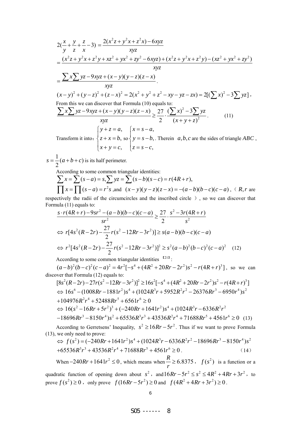$$
2(\frac{x}{y} + \frac{y}{z} + \frac{z}{x} - 3) = \frac{2(x^2z + y^2x + z^2x) - 6xyz}{xyz}
$$
  
\n
$$
= \frac{(x^2z + y^2x + z^2y + xz^2 + yx^2 + zy^2 - 6xyz) + (x^2z + y^2x + z^2y) - (xz^2 + yx^2 + zy^2)}{xyz}
$$
  
\n
$$
= \frac{\sum x \sum yz - 9xyz + (x - y)(y - z)(z - x)}{xyz}
$$
  
\n
$$
(x - y)^2 + (y - z)^2 + (z - x)^2 = 2(x^2 + y^2 + z^2 - xy - yz - zx) = 2[(\sum x)^2 - 3\sum yz],
$$
  
\nFrom this we can discover that Formula (10) equals to:  
\n
$$
\sum x \sum yz - 9xyz + (x - y)(y - z)(z - x) \ge \frac{27}{2} \cdot \frac{(\sum x)^2 - 3\sum yz}{(x + y + z)^2}.
$$
  
\n(11)  
\n
$$
\begin{cases}\ny + z = a, & y = s - a, \\
y + z = b, & \text{so } y = s - b, \text{ Therein } a, b, c \text{ are the sides of triangle } ABC, \\
x + y = c, & z = s - c,\n\end{cases}
$$

 $\frac{1}{2}(a+b+c)$ 2  $s = \frac{1}{2}(a+b+c)$  is its half perimeter.

According to some common triangular identities:  
\n
$$
\sum x = \sum (s-a) = s, \sum yz = \sum (s-b)(s-c) = r(4R+r),
$$
\n
$$
\prod x = \prod (s-a) = r^2 s, \text{ and } (x-y)(y-z)(z-x) = -(a-b)(b-c)(c-a), \text{ ( } R, r \text{ are } z \text{)}
$$

respectively the radii of the circumcircles and the inscribed circle ), so we can discover that Formula (11) equals to:

$$
\frac{s \cdot r(4R+r) - 9sr^2 - (a-b)(b-c)(c-a)}{sr^2} \ge \frac{27}{2} \cdot \frac{s^2 - 3r(4R+r)}{s^2}
$$
  
\n
$$
\Leftrightarrow r[4s^2(R-2r) - \frac{27}{2}r(s^2 - 12Rr - 3r^2)] \ge s(a-b)(b-c)(c-a)
$$
  
\n
$$
\Leftrightarrow r^2[4s^2(R-2r) - \frac{27}{2}r(s^2 - 12Rr - 3r^2)]^2 \ge s^2(a-b)^2(b-c)^2(c-a)^2 \quad (12)
$$

According to some common triangular identities  $^{1211}$ :

 $(a-b)^2(b-c)^2(c-a)^2 = 4r^2[-s^4 + (4R^2 + 20Rr - 2r^2)s^2 - r(4R+r)^3]$ , so we can discover that Formula (12) equals to:

$$
[8s^{2}(R-2r)-27r(s^{2}-12Rr-3r^{2})]^{2} \ge 16s^{2}[-s^{4}+(4R^{2}+20Rr-2r^{2})s^{2}-r(4R+r)^{3}]
$$
  
\n
$$
\Leftrightarrow 16s^{6}-(1008Rr-1881r^{2})s^{4}+(1024R^{3}r+5952R^{2}r^{2}-26376Rr^{3}-6950r^{4})s^{2}
$$
  
\n+104976R<sup>2</sup>r<sup>4</sup>+52488Rr<sup>5</sup>+6561r<sup>6</sup> \ge 0  
\n
$$
\Leftrightarrow 16(s^{2}-16Rr+5r^{2})^{3}+(-240Rr+1641r^{2})s^{4}+(1024R^{3}r-6336R^{2}r^{2})
$$
  
\n-18696Rr<sup>3</sup>-8150r<sup>4</sup>)s<sup>2</sup>+65536R<sup>3</sup>r<sup>3</sup>+43536R<sup>2</sup>r<sup>4</sup>+71688Rr<sup>5</sup>+4561r<sup>6</sup> \ge 0 (13)

According to Gerretsens' Inequality,  $s^2 \ge 16Rr - 5r^2$ . Thus if we want to prove Formula (13), we only need to prove: 0, we only need to prove:<br>  $\Rightarrow f(s^2) = (-240Rr + 1641r^2)s^4 + (1024R^3r - 6336R^2r^2 - 18696Rr^3 - 8150r^4)s^2$ 

$$
\Leftrightarrow f(s^2) = (-240Rr + 1641r^2)s^4 + (1024R^3r - 6336R^2r^2 - 18696Rr^3 - 8150r^4)s^2
$$
  
+65536R<sup>3</sup>r<sup>3</sup> + 43536R<sup>2</sup>r<sup>4</sup> + 71688Rr<sup>5</sup> + 4561r<sup>6</sup> \ge 0. (14)

When 
$$
-240Rr + 1641r^2 \le 0
$$
, which means when  $\frac{R}{r} \ge 6.8375$ ,  $f(s^2)$  is a function or a

quadratic function of opening down about  $s^2$ , and  $16Rr - 5r^2 \leq s^2 \leq 4R^2 + 4Rr + 3r^2$ , to prove  $f(s^2) \ge 0$ , only prove  $f(16Rr - 5r^2) \ge 0$  and  $f(4R^2 + 4Rr + 3r^2) \ge 0$ .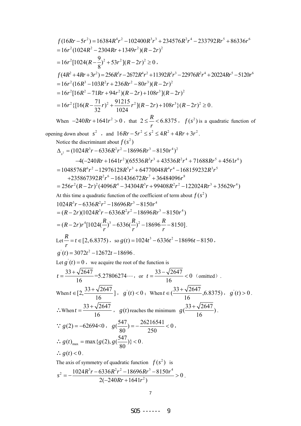$$
f(16Rr-5r^2) = 16384R^4r^2 - 102400R^3r^3 + 234576R^2r^4 - 233792Rr^5 + 86336r^6
$$
  
=  $16r^2(1024R^2 - 2304Rr + 1349r^2)(R - 2r)^2$   
=  $16r^2[1024(R - \frac{9}{8})^2 + 53r^2](R - 2r)^2 \ge 0$ ,  

$$
f(4R^2 + 4Rr + 3r^2) = 256R^5r - 2672R^4r^2 + 11392R^3r^3 - 22976R^2r^4 + 20224Rr^5 - 5120r^6
$$
  
=  $16r^2(16R^3 - 103R^2r + 236Rr^2 - 80r^3)(R - 2r)^2$   
=  $16r^2\{[16R^2 - 71Rr + 94r^2)(R - 2r) + 108r^3](R - 2r)^2 \ge 0$ .  
When  $-240Rr + 1641r^2 > 0$ , that  $2 \le \frac{R}{r} < 6.8375$ ,  $f(s^2)$  is a quadratic function of  
opening down about  $s^2$ , and  $16Rr - 5r^2 \le s^2 \le 4R^2 + 4Rr + 3r^2$ .  
Notice the discrimin about  $f(s^2)$   
 $\Delta_{s^2} = (1024R^3r - 6336R^3r^2 - 18696Rr^3 - 8150r^4)^2$   
 $-4(-240Rr + 1641r^2)(65536R^3r^3 + 45336R^2r^4 + 71688Rr^5 + 4561r^6)$   
=  $1048576R^6r^2 - 12976128R^5r^3 + 64370048r^8 + 166159232R^2r^5$   
 $+2353867392R^2r^6 - 161436672Rr^3 + 34536R^3r^4 + 7$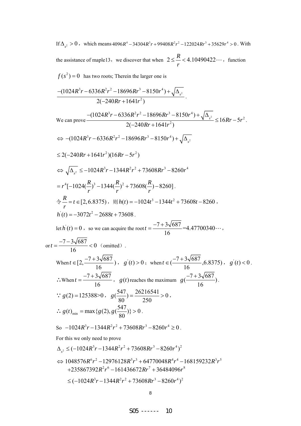If  $\Delta_{s^2} > 0$ , which means  $4096R^4 - 34304R^3r + 99408R^2r^2 - 122024Rr^3 + 35629r^4 > 0$ . With the assistance of maple13, we discover that when  $2 \leq R < 4.10490422$ *r*  $\leq$  -< 4.10490422 $\cdots$ , function  $f(s^2) = 0$  has two roots; Therein the larger one is

$$
\frac{-(1024R^3r-6336R^2r^2-18696Rr^3-8150r^4)+\sqrt{\Delta_{s^2}}}{2(-240Rr+1641r^2)}.
$$

We can prove 
$$
\frac{-(1024R^3r - 6336R^2r^2 - 18696Rr^3 - 8150r^4) + \sqrt{\Delta_{s^2}}}{2(-240Rr + 1641r^2)} \le 16Rr - 5r^2.
$$
  
\n⇒ 
$$
-(1024R^3r - 6336R^2r^2 - 18696Rr^3 - 8150r^4) + \sqrt{\Delta_{s^2}}
$$
  
\n≤ 2(-240Rr + 1641r^2)(16Rr - 5r^2)  
\n⇒ 
$$
\sqrt{\Delta_{s^2}} \le -1024R^3r - 1344R^2r^2 + 73608Rr^3 - 8260r^4
$$
  
\n=  $r^4[-1024(\frac{R}{r})^3 - 1344(\frac{R}{r})^2 + 73608(\frac{R}{r}) - 8260]$ .  
\n
$$
\frac{R}{r} = t \in [2, 6.8375), \text{ WJ}(t) = -1024t^3 - 1344t^2 + 73608t - 8260,
$$
  
\n*h* (*t*) = 0 , so we can acquire the root *t* =  $\frac{-7 + 3\sqrt{687}}{16}$  = 4.47700340...,  
\n
$$
\text{or } t = \frac{-7 - 3\sqrt{687}}{16} < 0 \text{ (omitted)}
$$
.  
\nWhen *t* ∈ [ $2, \frac{-7 + 3\sqrt{687}}{16}$ ), *g* (*t*) > 0; when *t* ∈ ( $\frac{-7 + 3\sqrt{687}}{16}$ , 6.8375), *g* (*t*) < 0.  
\n∴ When *t* =  $\frac{-7 + 3\sqrt{687}}{16}$ , *g* (*t*) reaches the maximum *g* ( $\frac{-7 + 3\sqrt{687}}{16}$ ).  
\n∴ *g*(*2*) = 125388 > 0, *g* ( $\frac{547}{80}$ ) =  $\frac{26216541}{25$ 

$$
\leq (-1024R^3r - 1344R^2r^2 + 73608Rr^3 - 8260r^4)^2
$$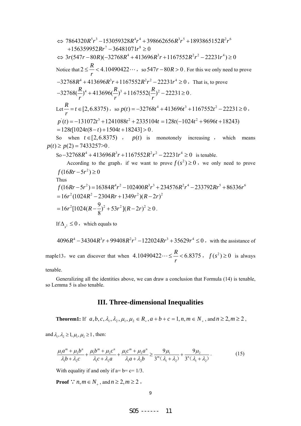⇒ 7864320R<sup>5</sup>r<sup>3</sup> -153059328R<sup>4</sup>r<sup>4</sup> +398662656R<sup>3</sup>r<sup>5</sup> +1893865152R<sup>2</sup>r<sup>6</sup>  
+156359952Rr<sup>7</sup> -36481071r<sup>8</sup> ≥ 0  
⇒ 3r(547r - 80R)(-32768R<sup>4</sup> +413696R<sup>3</sup>r +1167552R<sup>2</sup>r<sup>2</sup> -22231r<sup>4</sup>) ≥ 0  
Notice that 
$$
2 \le \frac{R}{r} < 4.10490422...
$$
, so  $547r - 80R > 0$ . For this we only need to prove  
-32768R<sup>4</sup> +413696R<sup>3</sup>r +1167552R<sup>2</sup>r<sup>2</sup> -22231r<sup>4</sup> ≥ 0. That is, to prove  
-32768(R<sup>4</sup>)<sup>4</sup> +413696(R<sup>3</sup>)<sup>3</sup> +1167552(R<sup>2</sup>)<sup>2</sup> -22231 ≥ 0.  
Let  $\frac{R}{r} = t \in [2, 6.8375)$ , so  $p(t) = -32768t^4 + 413696t^3 + 1167552t^2 - 22231 ≥ 0$ ,  
 $p(t) = -131072t^3 + 1241088t^2 + 2335104t = 128t(-1024t^2 + 9696t + 18243)$   
= 128t[1024t(8 - t) +1504t +18243] > 0.  
So when  $t \in [2, 6.8375)$ ,  $p(t)$  is monotonely increasing, which means  
 $p(t) \ge p(2) = 7433257>0$ .  
So-32768R<sup>4</sup> +413696R<sup>3</sup>r +1167552R<sup>2</sup>r<sup>2</sup> -22231r<sup>4</sup> ≥ 0 is tenable

If  $\Delta_{s^2} \leq 0$ , which equals to

 $4096R^4 - 34304R^3r + 99408R^2r^2 - 122024Rr^3 + 35629r^4 \le 0$ , with the assistance of maple13, we can discover that when  $4.10490422\dots \leq \frac{R}{r} < 6.8375$ ,  $f(s^2) \geq 0$  is always

tenable.

Generalizing all the identities above, we can draw a conclusion that Formula (14) is tenable, so Lemma 5 is also tenable.

## **III. Three-dimensional Inequalities**

**Theorem1:** If  $a, b, c, \lambda_1, \lambda_2, \mu_1, \mu_2 \in R_+$ ,  $a+b+c=1$ ,  $n, m \in N_+$ , and  $n \ge 2$ ,  $m \ge 2$ ,

and  $\lambda_1, \lambda_2 \geq 1, \mu_1, \mu_2 \geq 1$ , then:

$$
\frac{\mu_1 a^m + \mu_2 b^n}{\lambda_1 b + \lambda_2 c} + \frac{\mu_1 b^m + \mu_2 c^n}{\lambda_1 c + \lambda_2 a} + \frac{\mu_1 c^m + \mu_2 a^n}{\lambda_1 a + \lambda_2 b} \ge \frac{9\mu_1}{3^m (\lambda_1 + \lambda_2)} + \frac{9\mu_2}{3^n (\lambda_1 + \lambda_2)}.
$$
(15)

With equality if and only if  $a=b=c=1/3$ .

**Proof** ∵ *n*, *m* ∈  $N_+$ , and  $n \ge 2$ ,  $m \ge 2$ ,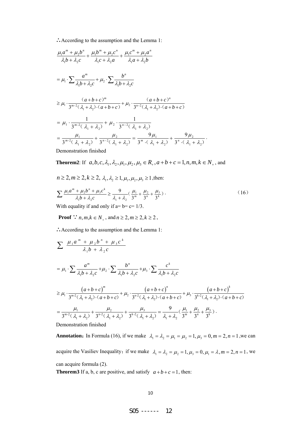∴According to the assumption and the Lemma 1:

$$
\frac{\mu_1 a^m + \mu_2 b^n}{\lambda_1 b + \lambda_2 c} + \frac{\mu_1 b^m + \mu_2 c^n}{\lambda_1 c + \lambda_2 a} + \frac{\mu_1 c^m + \mu_2 a^n}{\lambda_1 a + \lambda_2 b}
$$
\n
$$
= \mu_1 \cdot \sum \frac{a^m}{\lambda_1 b + \lambda_2 c} + \mu_2 \cdot \sum \frac{b^n}{\lambda_1 b + \lambda_2 c}
$$
\n
$$
\geq \mu_1 \cdot \frac{(a+b+c)^m}{3^{m-2}(\lambda_1 + \lambda_2) \cdot (a+b+c)} + \mu_2 \cdot \frac{(a+b+c)^n}{3^{n-2}(\lambda_1 + \lambda_2) \cdot (a+b+c)}
$$
\n
$$
= \mu_1 \cdot \frac{1}{3^{m-2}(\lambda_1 + \lambda_2)} + \mu_2 \cdot \frac{1}{3^{n-2}(\lambda_1 + \lambda_2)}
$$
\n
$$
= \frac{\mu_1}{3^{m-2}(\lambda_1 + \lambda_2)} + \frac{\mu_2}{3^{n-2}(\lambda_1 + \lambda_2)} = \frac{9\mu_1}{3^m \cdot (\lambda_1 + \lambda_2)} + \frac{9\mu_2}{3^n \cdot (\lambda_1 + \lambda_2)}.
$$
\nEXECUTE: The result is a factorization, find the equation of the equation of the equation of the equation.

Demonstration finished

**Theorem2**: If  $a, b, c, \lambda_1, \lambda_2, \mu_1, \mu_2, \mu_3 \in R_+$ ,  $a+b+c=1, n, m, k \in N_+$ , and

$$
n \ge 2, m \ge 2, k \ge 2, \lambda_1, \lambda_2 \ge 1, \mu_1, \mu_2, \mu_3 \ge 1, \text{then:}
$$
  

$$
\sum \frac{\mu_1 a^m + \mu_2 b^n + \mu_3 c^k}{\lambda_1 b + \lambda_2 c} \ge \frac{9}{\lambda_1 + \lambda_2} \left(\frac{\mu_1}{3^m} + \frac{\mu_2}{3^n} + \frac{\mu_3}{3^k}\right).
$$
 (16)

With equality if and only if  $a= b = c = 1/3$ .

**Proof** 
$$
\therefore
$$
  $n, m, k \in N_+$ , and  $n \ge 2, m \ge 2, k \ge 2$ ,

∴According to the assumption and the Lemma 1:

$$
\sum \frac{\mu_1 a^m + \mu_2 b^n + \mu_3 c^k}{\lambda_1 b + \lambda_2 c}
$$
\n  
\n
$$
= \mu_1 \cdot \sum \frac{a^m}{\lambda_1 b + \lambda_2 c} + \mu_2 \cdot \sum \frac{b^n}{\lambda_1 b + \lambda_2 c} + \mu_3 \cdot \sum \frac{c^k}{\lambda_1 b + \lambda_2 c}
$$
\n  
\n
$$
\geq \mu_1 \cdot \frac{(a+b+c)^m}{3^{m-2}(\lambda_1 + \lambda_2) \cdot (a+b+c)} + \mu_2 \cdot \frac{(a+b+c)^n}{3^{n-2}(\lambda_1 + \lambda_2) \cdot (a+b+c)} + \mu_3 \cdot \frac{(a+b+c)^k}{3^{k-2}(\lambda_1 + \lambda_2) \cdot (a+b+c)}
$$
\n  
\n
$$
= \frac{\mu_1}{3^{m-2}(\lambda_1 + \lambda_2)} + \frac{\mu_2}{3^{n-2}(\lambda_1 + \lambda_2)} + \frac{\mu_3}{3^{k-2}(\lambda_1 + \lambda_2)} = \frac{9}{\lambda_1 + \lambda_2} (\frac{\mu_1}{3^m} + \frac{\mu_2}{3^n} + \frac{\mu_3}{3^k}).
$$
\n  
\nDenonstration finished

**Annotation:** In Formula (16), if we make  $\lambda_1 = \lambda_2 = \mu_1 = \mu_2 = 1, \mu_3 = 0, m = 2, n = 1$ , we can acquire the Vasiliev Inequality; if we make  $\lambda_1 = \lambda_2 = \mu_2 = 1, \mu_3 = 0, \mu_1 = \lambda, m = 2, n = 1$ , we can acquire formula (2).

**Theorem3** If a, b, c are positive, and satisfy  $a+b+c=1$ , then: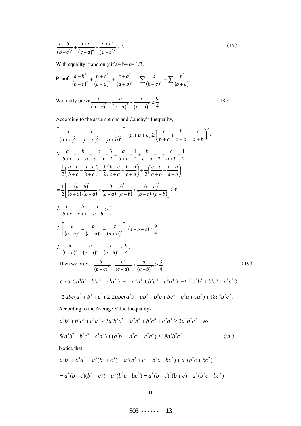$$
\frac{a+b^2}{(b+c)^2} + \frac{b+c^2}{(c+a)^2} + \frac{c+a^2}{(a+b)^2} \ge 3.
$$
 (17)

With equality if and only if  $a=b=c=1/3$ .

**Proof** 
$$
\frac{a+b^2}{(b+c)^2} + \frac{b+c^2}{(c+a)^2} + \frac{c+a^2}{(a+b)^2} = \sum \frac{a}{(b+c)^2} + \sum \frac{b^2}{(b+c)^2}.
$$

We firstly prove  $(b+c)^{2}$   $(c+a)^{2}$   $(a+b)^{2}$ 9 4 *abc*  $(b+c)^2$   $(c+a)^2$   $(a+b)$  $+\frac{v}{\sqrt{2}}+\frac{c}{\sqrt{2}}\ge$  $+ c$ <sup>2</sup>  $(c+a)$ <sup>2</sup>  $(a+a)$  $(18)$ 

According to the assumptions and Cauchy's Inequality,

$$
\left[\frac{a}{(b+c)^2} + \frac{b}{(c+a)^2} + \frac{c}{(a+b)^2}\right] \cdot (a+b+c) \ge \left(\frac{a}{b+c} + \frac{b}{c+a} + \frac{c}{a+b}\right)^2.
$$
\n
$$
\therefore \frac{a}{b+c} + \frac{b}{c+a} + \frac{c}{a+b} - \frac{3}{2} = \frac{a}{b+c} - \frac{1}{2} + \frac{b}{c+a} - \frac{1}{2} + \frac{c}{a+b} - \frac{1}{2}
$$
\n
$$
= \frac{1}{2} \left(\frac{a-b}{b+c} - \frac{a-c}{b+c}\right) + \frac{1}{2} \left(\frac{b-c}{c+a} - \frac{b-a}{c+a}\right) + \frac{1}{2} \left(\frac{c-a}{a+b} - \frac{c-b}{a+b}\right)
$$
\n
$$
= \frac{1}{2} \left[\frac{(a-b)^2}{(b+c)\cdot(c+a)} + \frac{(b-c)^2}{(c+a)\cdot(a+b)} + \frac{(c-a)^2}{(b+c)\cdot(a+b)}\right] \ge 0.
$$
\n
$$
\therefore \frac{a}{b+c} + \frac{b}{c+a} + \frac{c}{a+b} \ge \frac{3}{2}.
$$
\n
$$
\therefore \frac{a}{(b+c)^2} + \frac{b}{(c+a)^2} + \frac{c}{(a+b)^2} \ge \frac{9}{4}.
$$
\nThen we prove  $\frac{b^2}{(b+c)^2} + \frac{c^2}{(c+a)^2} + \frac{a^2}{(a+b)^2} \ge \frac{3}{4}.$ \nThen we prove  $\frac{b^2}{(b+c)^2} + \frac{c^2}{(c+a)^2} + \frac{a^2}{(a+b)^2} \ge \frac{3}{4}.$ \n
$$
\Rightarrow 5 \left(\frac{a^4b^2 + b^4c^2 + c^4a^2}{(b+c)^2} + \frac{c^2}{(c+a)^2} + \frac{a^2}{(a+b)^2} \ge \frac{3}{4}.
$$
\n
$$
\Rightarrow 5 \left(\frac{a^4b^2 + b^4c^2 + c^4a^2}{(b+c)^2} + \frac{c^2b^4 + b^2c^4 + c^2a^4}{(a+b)^2} \ge \frac{3}{4} + \frac{c^2b^2}{(a+b)^2} \
$$

Notice that

$$
a^{3}b^{3} + c^{3}a^{3} = a^{3}(b^{3} + c^{3}) = a^{3}(b^{3} + c^{3} - b^{2}c - bc^{2}) + a^{3}(b^{2}c + bc^{2})
$$
  
=  $a^{3}(b - c)(b^{2} - c^{2}) + a^{3}(b^{2}c + bc^{2}) = a^{3}(b - c)^{2}(b + c) + a^{3}(b^{2}c + bc^{2})$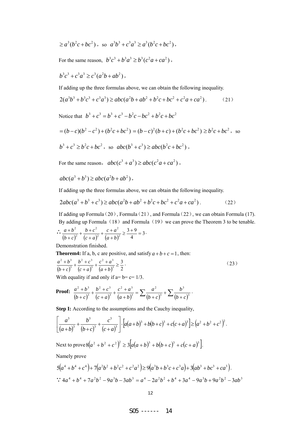$$
\geq a^3(b^2c + bc^2)
$$
, so  $a^3b^3 + c^3a^3 \geq a^3(b^2c + bc^2)$ ,

For the same reason,  $b^3 c^3 + b^3 a^3 \ge b^3 (c^2 a + ca^2)$ ,

$$
b^3c^3 + c^3a^3 \ge c^3(a^2b + ab^2),
$$

If adding up the three formulas above, we can obtain the following inequality.

$$
2(a^{3}b^{3} + b^{3}c^{3} + c^{3}a^{3}) \ge abc(a^{2}b + ab^{2} + b^{2}c + bc^{2} + c^{2}a + ca^{2}).
$$
 (21)

Notice that  $b^3 + c^3 = b^3 + c^3 - b^2c - bc^2 + b^2c + bc^2$ 

$$
= (b - c)(b2 - c2) + (b2c + bc2) = (b - c)2(b + c) + (b2c + bc2) \ge b2c + bc2
$$
, so  

$$
b3 + c3 \ge b2c + bc2
$$
, so  $abc(b3 + c3) \ge abc(b2c + bc2)$ ,

For the same reason,  $abc(c^3 + a^3) \ge abc(c^2a + ca^2)$ ,

 $abc(a^{3} + b^{3}) \ge abc(a^{2}b + ab^{2})$ ,

If adding up the three formulas above, we can obtain the following inequality.

$$
2abc(a^3+b^3+c^3) \ge abc(a^2b+ab^2+b^2c+bc^2+c^2a+ca^2).
$$
 (22)

If adding up Formula (20), Formula (21), and Formula (22), we can obtain Formula (17). By adding up Formula  $(18)$  and Formula  $(19)$  we can prove the Theorem 3 to be tenable.

$$
\frac{a+b^2}{(b+c)^2} + \frac{b+c^2}{(c+a)^2} + \frac{c+a^2}{(a+b)^2} \ge \frac{3+9}{4} = 3.
$$

Demonstration finished.

**Theorem4:** If a, b, c are positive, and satisfy  $a+b+c=1$ , then:

$$
\frac{a^2 + b^3}{(b+c)^3} + \frac{b^2 + c^3}{(c+a)^3} + \frac{c^2 + a^3}{(a+b)^3} \ge \frac{3}{2}.
$$
 (23)

With equality if and only if  $a=b=c=1/3$ .

**Proof:** 
$$
\frac{a^2 + b^3}{(b+c)^3} + \frac{b^2 + c^3}{(c+a)^3} + \frac{c^2 + a^3}{(a+b)^3} = \sum \frac{a^2}{(b+c)^3} + \sum \frac{b^3}{(b+c)^3}.
$$

**Step I:** According to the assumptions and the Cauchy inequality,

$$
\left[\frac{a^3}{(a+b)^3} + \frac{b^3}{(b+c)^3} + \frac{c^3}{(c+a)^3}\right] \cdot \left[a(a+b)^3 + b(b+c)^3 + c(c+a)^3\right] \geq (a^2 + b^2 + c^2)^2.
$$

Next to prove  $8(a^2 + b^2 + c^2)^2 \ge 3[a(a + b)^3 + b(b+c)^3 + c(c+a)^3]$ .

Namely prove

$$
5(a^4 + b^4 + c^4) + 7(a^2b^2 + b^2c^2 + c^2a^2) \ge 9(a^3b + b^3c + c^3a) + 3(ab^3 + bc^3 + ca^3).
$$
  
 
$$
3(2a^3 + b^3 + 7a^2b^2) - 9a^3b - 3ab^3 = a^4 - 2a^2b^2 + b^4 + 3a^4 - 9a^3b + 9a^2b^2 - 3ab^3
$$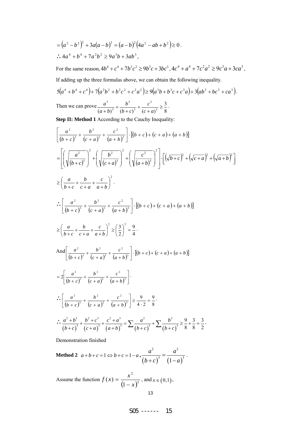$$
=(a2 - b2)2 + 3a(a - b)3 = (a - b)2(4a2 - ab + b2) ≥ 0.
$$
  
∴ 4a<sup>4</sup> + b<sup>4</sup> + 7a<sup>2</sup>b<sup>2</sup> ≥ 9a<sup>3</sup>b + 3ab<sup>3</sup>,

For the same reason,  $4b^4 + c^4 + 7b^2c^2 \ge 9b^3c + 3bc^3$ ,  $4c^4 + a^4 + 7c^2a^2 \ge 9c^3a + 3ca^3$ ,

If adding up the three formulas above, we can obtain the following inequality.

$$
5(a4 + b4 + c4) + 7(a2b2 + b2c2 + c2a2) \ge 9(a3b + b3c + c3a) + 3(ab3 + bc3 + ca3).
$$
  
Then we can prove 
$$
\frac{a3}{a3} + \frac{b3}{a3} + \frac{c3}{a3} \ge \frac{3}{a}.
$$

Then we can prove 8  $(a+b)^3$   $(b+c)^3$   $(c+a)^3$ 3 3  $\frac{3}{2} + \frac{b^3}{2} + \frac{c^3}{2}$ + + + +  $(b + c)^3$   $(b + c)^3$   $(c + a)^3$  $b+c$  $a + b$ 

**Step II: Method 1** According to the Cauchy Inequality:

$$
\left[\frac{a^{2}}{(b+c)^{3}} + \frac{b^{2}}{(c+a)^{3}} + \frac{c^{2}}{(a+b)^{3}}\right] \cdot [(b+c)+(c+a)+(a+b)]
$$
\n
$$
= \left[\left(\sqrt{\frac{a^{2}}{(b+c)^{3}}}\right)^{2} + \left(\sqrt{\frac{b^{2}}{(c+a)^{3}}}\right)^{2} + \left(\sqrt{\frac{c^{2}}{(a+b)^{3}}}\right)^{2}\right] \cdot \left[\left(\sqrt{b+c}\right)^{2} + \left(\sqrt{c+a}\right)^{2} + \left(\sqrt{a+b}\right)^{2}\right]
$$
\n
$$
\geq \left(\frac{a}{b+c} + \frac{b}{c+a} + \frac{c}{a+b}\right)^{2}.
$$
\n
$$
\therefore \left[\frac{a^{2}}{(b+c)^{3}} + \frac{b^{2}}{(c+a)^{3}} + \frac{c^{2}}{(a+b)^{3}}\right] \cdot [(b+c)+(c+a)+(a+b)]
$$
\n
$$
\geq \left(\frac{a}{b+c} + \frac{b}{c+a} + \frac{c}{a+b}\right)^{2} \geq \left(\frac{3}{2}\right)^{2} = \frac{9}{4}.
$$
\nAnd 
$$
\left[\frac{a^{2}}{(b+c)^{3}} + \frac{b^{2}}{(c+a)^{3}} + \frac{c^{2}}{(a+b)^{3}}\right] \cdot [(b+c)+(c+a)+(a+b)]
$$
\n
$$
= 2\left[\frac{a^{2}}{(b+c)^{3}} + \frac{b^{2}}{(c+a)^{3}} + \frac{c^{2}}{(a+b)^{3}}\right].
$$
\n
$$
\therefore \left[\frac{a^{2}}{(b+c)^{3}} + \frac{b^{2}}{(c+a)^{3}} + \frac{c^{2}}{(a+b)^{3}}\right] \geq \frac{9}{4 \cdot 2} = \frac{9}{8}.
$$
\n
$$
\therefore \frac{a^{2}+b^{3}}{(b+c)^{3}} + \frac{b^{2}+c^{3}}{(c+a)^{3}} + \frac{c^{2}+a^{3}}{(a+b)^{3}} = \sum_{n=0}^{\infty} \frac{a^{2}}{(b+c)^{3}} + \sum_{n=0}^{\infty} \frac{b^{3}}{(b+c)^{3}} = \frac{9}{8} + \frac{3}{8} = \frac{3}{2}.
$$

Demonstration finished

**Method 2**  $a+b+c=1 \Leftrightarrow b+c=1-a$ ,  $(b+c)$   $(1-a)$ 2  $a^2$  $3^{-} (1-a)^3$  $rac{a^2}{b+c^2} = \frac{a^2}{(1-a)^3}$ .

Assume the function  $f(x) = \frac{x}{(1-x)^3}$ 2  $f(x) = \frac{x^2}{(1-x)^3}$ , and  $x \in (0,1)$ ,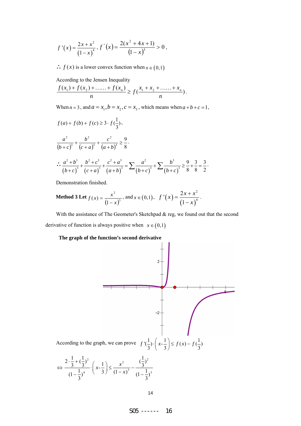$$
f'(x) = \frac{2x + x^2}{(1 - x)^4}, f''(x) = \frac{2(x^2 + 4x + 1)}{(1 - x)^5} > 0,
$$

 $\therefore$  *f* (*x*) is a lower convex function when  $x \in (0,1)$ 

According to the Jensen Inequality

$$
\frac{f(x_1)+f(x_2)+\ldots+f(x_n)}{n} \ge f(\frac{x_1+x_2+\ldots+x_n}{n}).
$$

When  $n = 3$ , and  $a = x_1$ ,  $b = x_2$ ,  $c = x_3$ , which means when  $a + b + c = 1$ ,

$$
f(a) + f(b) + f(c) \ge 3 \cdot f(\frac{1}{3}),
$$
  
\n
$$
\frac{a^2}{(b+c)^3} + \frac{b^2}{(c+a)^3} + \frac{c^2}{(a+b)^3} \ge \frac{9}{8}.
$$
  
\n
$$
\therefore \frac{a^2 + b^3}{(b+c)^3} + \frac{b^2 + c^3}{(c+a)^3} + \frac{c^2 + a^3}{(a+b)^3} = \sum \frac{a^2}{(b+c)^3} + \sum \frac{b^3}{(b+c)^3} \ge \frac{9}{8} + \frac{3}{8} = \frac{3}{2}.
$$

Demonstration finished.

Method 3 Let 
$$
f(x) = \frac{x^2}{(1-x)^3}
$$
, and  $x \in (0,1)$ ,  $f'(x) = \frac{2x + x^2}{(1-x)^4}$ .

With the assistance of The Geometer's Sketchpad  $\&$  reg, we found out that the second derivative of function is always positive when  $x \in (0,1)$ 

#### **The graph of the function's second derivative**



$$
\Leftrightarrow \frac{2 \cdot \frac{1}{3} + (\frac{1}{3})^2}{(1 - \frac{1}{3})^4} \cdot \left(x - \frac{1}{3}\right) \le \frac{x^2}{(1 - x)^3} - \frac{(\frac{1}{3})^2}{(1 - \frac{1}{3})^3}
$$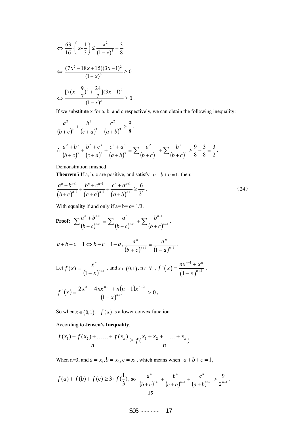$$
\Leftrightarrow \frac{63}{16} \cdot \left(x - \frac{1}{3}\right) \le \frac{x^2}{(1 - x)^3} - \frac{3}{8}
$$

$$
\Leftrightarrow \frac{(7x^2 - 18x + 15)(3x - 1)^2}{(1 - x)^3} \ge 0
$$

$$
\Leftrightarrow \frac{[7(x - \frac{9}{7})^2 + \frac{24}{7}](3x - 1)^2}{(1 - x)^3} \ge 0.
$$

If we substitute x for a, b, and c respectively, we can obtain the following inequality:

$$
\frac{a^2}{(b+c)^3} + \frac{b^2}{(c+a)^3} + \frac{c^2}{(a+b)^3} \ge \frac{9}{8}.
$$
  

$$
\therefore \frac{a^2 + b^3}{(b+c)^3} + \frac{b^2 + c^3}{(c+a)^3} + \frac{c^2 + a^3}{(a+b)^3} = \sum \frac{a^2}{(b+c)^3} + \sum \frac{b^3}{(b+c)^3} \ge \frac{9}{8} + \frac{3}{8} = \frac{3}{2}.
$$

Demonstration finished

**Theorem5** If a, b, c are positive, and satisfy  $a+b+c=1$ , then:

$$
\frac{a^n + b^{n+1}}{(b+c)^{n+1}} + \frac{b^n + c^{n+1}}{(c+a)^{n+1}} + \frac{c^n + a^{n+1}}{(a+b)^{n+1}} \ge \frac{6}{2^n}.
$$
\n(24)

With equality if and only if  $a = b = c = 1/3$ .

**Proof:** 
$$
\sum \frac{a^n + b^{n+1}}{(b+c)^{n+1}} = \sum \frac{a^n}{(b+c)^{n+1}} + \sum \frac{b^{n+1}}{(b+c)^{n+1}}.
$$

$$
a+b+c=1 \Leftrightarrow b+c=1-a
$$
,  $\frac{a^n}{(b+c)^{n+1}} = \frac{a^n}{(1-a)^{n+1}}$ ,

Let 
$$
f(x) = \frac{x^n}{(1-x)^{n+1}}
$$
, and  $x \in (0,1)$ ,  $n \in N_+$ ,  $f'(x) = \frac{nx^{n-1} + x^n}{(1-x)^{n+2}}$ ,

$$
f''(x) = \frac{2x^n + 4nx^{n-1} + n(n-1)x^{n-2}}{(1-x)^{n+3}} > 0,
$$

So when  $x \in (0,1)$ ,  $f(x)$  is a lower convex function.

According to **Jensen's Inequality**,

$$
\frac{f(x_1) + f(x_2) + \dots + f(x_n)}{n} \ge f\left(\frac{x_1 + x_2 + \dots + x_n}{n}\right).
$$

When n=3, and  $a = x_1, b = x_2, c = x_3$ , which means when  $a + b + c = 1$ ,

$$
f(a) + f(b) + f(c) \ge 3 \cdot f(\frac{1}{3}),
$$
 so 
$$
\frac{a^n}{(b+c)^{n+1}} + \frac{b^n}{(c+a)^{n+1}} + \frac{c^n}{(a+b)^{n+1}} \ge \frac{9}{2^{n+1}}.
$$
15

$$
505
$$
----- 17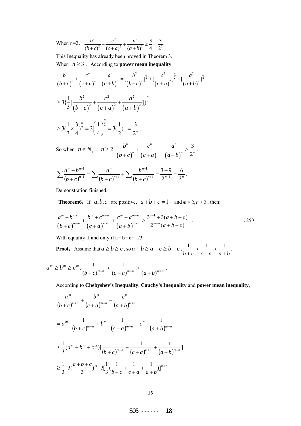When n=2,  $\frac{b^2}{(b+a)^2} + \frac{c^2}{(a+a)^2} + \frac{a^2}{(a+b)^2} \ge \frac{3}{4} = \frac{3}{2^2}$ 3 3  $(b+c)^2$   $(c+a)^2$   $(a+b)^2$  4 2  $b^2$   $c^2$  a  $(b+c)^2$   $(c+a)^2$   $(a+b)$  $+\frac{c}{\sqrt{2}}+\frac{a}{\sqrt{2}} \geq \frac{b}{\sqrt{2}}=$  $+ c)^2$   $(c+a)^2$   $(a+b)$ 

This Inequality has already been proved in Theorem 3.

When  $n \geq 3$ , According to **power mean inequality**,

$$
\frac{b^n}{(b+c)^n} + \frac{c^n}{(c+a)^n} + \frac{a^n}{(a+b)^n} = \left[\frac{b^2}{(b+c)^2}\right]^{\frac{n}{2}} + \left[\frac{c^2}{(c+a)^2}\right]^{\frac{n}{2}} + \left[\frac{a^2}{(a+b)^2}\right]^{\frac{n}{2}}
$$
\n
$$
\geq 3\left\{\frac{1}{3}\left[\frac{b^2}{(b+c)^2} + \frac{c^2}{(c+a)^2} + \frac{a^2}{(a+b)^2}\right]\right\}^{\frac{n}{2}}
$$
\n
$$
\geq 3\left(\frac{1}{3} \times \frac{3}{4}\right)^{\frac{n}{2}} = 3\left(\frac{1}{4}\right)^{\frac{n}{2}} = 3\left(\frac{1}{2}\right)^n = \frac{3}{2^n}.
$$
\nSo when  $n \in N_+$ ,  $n \geq 2$ ,  $\frac{b^n}{(b+c)^n} + \frac{c^n}{(c+a)^n} + \frac{a^n}{(a+b)^n} \geq \frac{3}{2^n}$ .

$$
\sum \frac{a^n + b^{n+1}}{(b+c)^{n+1}} = \sum \frac{a^n}{(b+c)^{n+1}} + \sum \frac{b^{n+1}}{(b+c)^{n+1}} = \frac{3+9}{2^{n+1}} = \frac{6}{2^n}.
$$

Demonstration finished.

**Theorem6:** If  $a, b, c$  are positive,  $a+b+c=1$ , and  $m \ge 2, n \ge 2$ , then:

$$
\frac{a^m + b^{m+n}}{(b+c)^{m+n}} + \frac{b^m + c^{m+n}}{(c+a)^{m+n}} + \frac{c^m + a^{m+n}}{(a+b)^{m+n}} \ge \frac{3^{n+1} + 3(a+b+c)^n}{2^{m+n}(a+b+c)^n}.
$$
\n(25)

With equality if and only if  $a = b = c = 1/3$ .

**Proof:** Assume that  $a \ge b \ge c$ , so  $a + b \ge a + c \ge b + c$ ,  $\frac{1}{b+c} \ge \frac{1}{c+a} \ge \frac{1}{a+b}$ + ≥ +  $\frac{1}{2}$  ,  $\frac{1}{2}$  ,  $\frac{1}{2}$  ,  $\frac{1}{2}$ 

$$
a^{m} \ge b^{m} \ge c^{m}, \frac{1}{(b+c)^{m+n}} \ge \frac{1}{(c+a)^{m+n}} \ge \frac{1}{(a+b)^{m+n}},
$$

According to **Chebyshev's Inequality**, **Cauchy's Inequality** and **power mean inequality**,

$$
\frac{a^m}{(b+c)^{m+n}} + \frac{b^m}{(c+a)^{m+n}} + \frac{c^m}{(a+b)^{m+n}}
$$
\n
$$
= a^m \cdot \frac{1}{(b+c)^{m+n}} + b^m \cdot \frac{1}{(c+a)^{m+n}} + c^m \cdot \frac{1}{(a+b)^{m+n}}
$$
\n
$$
\geq \frac{1}{3} (a^m + b^m + c^m) \left[ \frac{1}{(b+c)^{m+n}} + \frac{1}{(c+a)^{m+n}} + \frac{1}{(a+b)^{m+n}} \right]
$$
\n
$$
\geq \frac{1}{3} \cdot 3 \left( \frac{a+b+c}{3} \right)^m \cdot 3 \left[ \frac{1}{3} \left( \frac{1}{b+c} + \frac{1}{c+a} + \frac{1}{a+b} \right) \right]^{m+n}
$$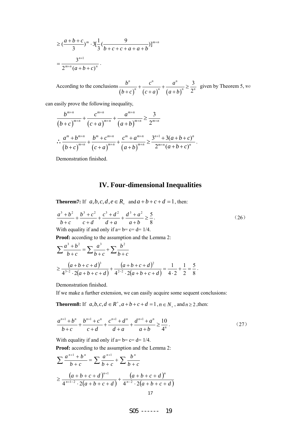$$
\geq \left(\frac{a+b+c}{3}\right)^m \cdot 3\left[\frac{1}{3}\left(\frac{9}{b+c+c+a+a+b}\right)\right]^{m+n}
$$

$$
=\frac{3^{n+1}}{2^{m+n}(a+b+c)^n}.
$$

According to the conclusions  $(b + c)^n$   $(c + a)^n$   $(a + b)$ 3 2  $n \t a^n$   $a^n$  $n \times (1 - \lambda)^n$   $(1 - \lambda)^n = \lambda^n$  $b^n$   $c^n$  a  $(b+c)^n$   $(c+a)^n$   $(a+b)$  $+\frac{c}{\sqrt{a}}+\frac{a}{\sqrt{a}}\geq$  $+ c$ <sup>n</sup>  $(c+a)$ <sup>n</sup>  $(a+b)$ given by Theorem 5, we

can easily prove the following inequality,

$$
\frac{b^{m+n}}{(b+c)^{m+n}} + \frac{c^{m+n}}{(c+a)^{m+n}} + \frac{a^{m+n}}{(a+b)^{m+n}} \ge \frac{3}{2^{m+n}}
$$
\n
$$
\therefore \frac{a^m + b^{m+n}}{(b+c)^{m+n}} + \frac{b^m + c^{m+n}}{(c+a)^{m+n}} + \frac{c^m + a^{m+n}}{(a+b)^{m+n}} \ge \frac{3^{n+1} + 3(a+b+c)^n}{2^{m+n}(a+b+c)^n}.
$$

Demonstration finished.

### **IV. Four-dimensional Inequalities**

**Theorem7:** If  $a, b, c, d, e \in R_+$  and  $a+b+c+d=1$ , then:

$$
\frac{a^3 + b^2}{b + c} + \frac{b^3 + c^2}{c + d} + \frac{c^3 + d^2}{d + a} + \frac{d^3 + a^2}{a + b} \ge \frac{5}{8}.
$$
\n
$$
\text{With equality if and only if } a = b = c = d = 1/4.
$$
\n
$$
(26)
$$

**Proof:** according to the assumption and the Lemma 2:

$$
\sum \frac{a^3 + b^2}{b + c} = \sum \frac{a^3}{b + c} + \sum \frac{b^2}{b + c}
$$
  
\n
$$
\ge \frac{(a + b + c + d)^3}{4^{3-2} \cdot 2(a + b + c + d)} + \frac{(a + b + c + d)^2}{4^{2-2} \cdot 2(a + b + c + d)} = \frac{1}{4 \cdot 2} + \frac{1}{2} = \frac{5}{8}.
$$

Demonstration finished.

If we make a further extension, we can easily acquire some sequent conclusions:

**Theorem8:** If  $a, b, c, d \in \mathbb{R}^+, a+b+c+d=1, n \in \mathbb{N}_+$ , and  $n \ge 2$ , then:

$$
\frac{a^{n+1} + b^n}{b+c} + \frac{b^{n+1} + c^n}{c+d} + \frac{c^{n+1} + d^n}{d+a} + \frac{d^{n+1} + a^n}{a+b} \ge \frac{10}{4^n}.
$$
 (27)

With equality if and only if  $a = b = c = d = 1/4$ .

**Proof:** according to the assumption and the Lemma 2:

$$
\sum \frac{a^{n+1} + b^n}{b + c} = \sum \frac{a^{n+1}}{b + c} + \sum \frac{b^n}{b + c}
$$
  
\n
$$
\geq \frac{(a + b + c + d)^{n+1}}{4^{n+1-2} \cdot 2(a + b + c + d)} + \frac{(a + b + c + d)^n}{4^{n-2} \cdot 2(a + b + c + d)}
$$
  
\n17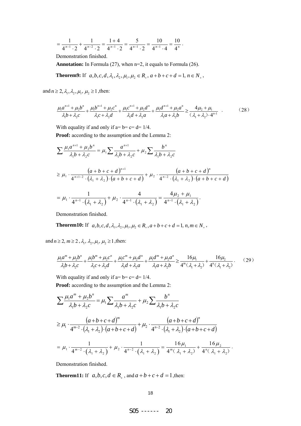$$
=\frac{1}{4^{n-1}\cdot 2}+\frac{1}{4^{n-2}\cdot 2}=\frac{1+4}{4^{n-1}\cdot 2}=\frac{5}{4^{n-1}\cdot 2}=\frac{10}{4^{n-1}\cdot 4}=\frac{10}{4^n}.
$$

Demonstration finished.

**Annotation:** In Formula (27), when n=2, it equals to Formula (26).

**Theorem9:** If 
$$
a, b, c, d, \lambda_1, \lambda_2, \mu_1, \mu_2 \in R_+
$$
,  $a+b+c+d=1$ ,  $n \in N_+$ ,

and  $n \ge 2$ ,  $\lambda_1$ ,  $\lambda_2$ ,  $\mu_1$ ,  $\mu_2 \ge 1$ , then:

$$
\frac{\mu_1 a^{n+1} + \mu_2 b^n}{\lambda_1 b + \lambda_2 c} + \frac{\mu_1 b^{n+1} + \mu_2 c^n}{\lambda_1 c + \lambda_2 d} + \frac{\mu_1 c^{n+1} + \mu_2 d^n}{\lambda_1 d + \lambda_2 a} + \frac{\mu_1 d^{n+1} + \mu_2 a^n}{\lambda_1 a + \lambda_2 b} \ge \frac{4\mu_2 + \mu_1}{(\lambda_1 + \lambda_2) \cdot 4^{n+1}} \tag{28}
$$

With equality if and only if  $a = b = c = d = 1/4$ .

**Proof:** according to the assumption and the Lemma 2:

$$
\sum \frac{\mu_1 a^{n+1} + \mu_2 b^n}{\lambda_1 b + \lambda_2 c} = \mu_1 \sum \frac{a^{n+1}}{\lambda_1 b + \lambda_2 c} + \mu_2 \sum \frac{b^n}{\lambda_1 b + \lambda_2 c}
$$
  
\n
$$
\geq \mu_1 \cdot \frac{(a+b+c+d)^{n+1}}{4^{n+1-2} \cdot (\lambda_1 + \lambda_2) \cdot (a+b+c+d)} + \mu_2 \cdot \frac{(a+b+c+d)^n}{4^{n-2} \cdot (\lambda_1 + \lambda_2) \cdot (a+b+c+d)}
$$
  
\n
$$
= \mu_1 \cdot \frac{1}{4^{n-1} \cdot (\lambda_1 + \lambda_2)} + \mu_2 \cdot \frac{4}{4^{n-1} \cdot (\lambda_1 + \lambda_2)} = \frac{4\mu_2 + \mu_1}{4^{n-1} \cdot (\lambda_1 + \lambda_2)}.
$$

Demonstration finished.

**Theorem10:** If 
$$
a, b, c, d, \lambda_1, \lambda_2, \mu_1, \mu_2 \in R_+
$$
,  $a+b+c+d=1$ ,  $n, m \in N_+$ ,

and  $n \ge 2$ ,  $m \ge 2$ ,  $\lambda_1$ ,  $\lambda_2$ ,  $\mu_1$ ,  $\mu_2 \ge 1$ , then:

$$
\frac{\mu_1 a^m + \mu_2 b^n}{\lambda_1 b + \lambda_2 c} + \frac{\mu_1 b^m + \mu_2 c^n}{\lambda_1 c + \lambda_2 d} + \frac{\mu_1 c^m + \mu_2 d^n}{\lambda_1 d + \lambda_2 a} + \frac{\mu_1 d^m + \mu_2 a^n}{\lambda_1 a + \lambda_2 b} \ge \frac{16 \mu_1}{4^m (\lambda_1 + \lambda_2)} + \frac{16 \mu_2}{4^n (\lambda_1 + \lambda_2)}.
$$
 (29)

With equality if and only if  $a = b = c = d = 1/4$ . **Proof:** according to the assumption and the Lemma 2:

$$
\sum \frac{\mu_1 a^m + \mu_2 b^n}{\lambda_1 b + \lambda_2 c} = \mu_1 \sum \frac{a^m}{\lambda_1 b + \lambda_2 c} + \mu_2 \sum \frac{b^n}{\lambda_1 b + \lambda_2 c}
$$
  
\n
$$
\geq \mu_1 \cdot \frac{(a+b+c+d)^m}{4^{m-2} \cdot (\lambda_1 + \lambda_2) \cdot (a+b+c+d)} + \mu_2 \cdot \frac{(a+b+c+d)^n}{4^{n-2} \cdot (\lambda_1 + \lambda_2) \cdot (a+b+c+d)}
$$
  
\n
$$
= \mu_1 \cdot \frac{1}{4^{m-2} \cdot (\lambda_1 + \lambda_2)} + \mu_2 \cdot \frac{1}{4^{n-2} \cdot (\lambda_1 + \lambda_2)} = \frac{16 \mu_1}{4^m (\lambda_1 + \lambda_2)} + \frac{16 \mu_2}{4^n (\lambda_1 + \lambda_2)}.
$$

Demonstration finished.

**Theorem11:** If  $a, b, c, d \in R_+$ , and  $a + b + c + d = 1$ , then: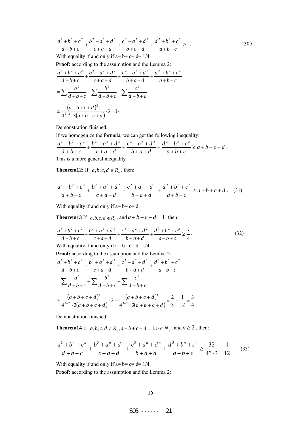$$
\frac{a^2 + b^2 + c^2}{d + b + c} + \frac{b^2 + a^2 + d^2}{c + a + d} + \frac{c^2 + a^2 + d^2}{b + a + d} + \frac{d^2 + b^2 + c^2}{a + b + c} \ge 1.
$$
 (30)

With equality if and only if  $a=b=c=d=1/4$ .

**Proof:** according to the assumption and the Lemma 2:

$$
\frac{a^2 + b^2 + c^2}{d + b + c} + \frac{b^2 + a^2 + d^2}{c + a + d} + \frac{c^2 + a^2 + d^2}{b + a + d} + \frac{d^2 + b^2 + c^2}{a + b + c}
$$
\n
$$
= \sum \frac{a^2}{d + b + c} + \sum \frac{b^2}{d + b + c} + \sum \frac{c^2}{d + b + c}
$$
\n
$$
\geq \frac{(a + b + c + d)^2}{4^{2-2} \cdot 3(a + b + c + d)} \cdot 3 = 1.
$$

Demonstration finished.

If we homogenize the formula, we can get the following inequality:

$$
\frac{a^2 + b^2 + c^2}{d + b + c} + \frac{b^2 + a^2 + d^2}{c + a + d} + \frac{c^2 + a^2 + d^2}{b + a + d} + \frac{d^2 + b^2 + c^2}{a + b + c} \ge a + b + c + d.
$$
  
This is a more general inequality.

**Theorem12:** If  $a, b, c, d \in R$ , then:

$$
\frac{a^2+b^2+c^2}{d+b+c} + \frac{b^2+a^2+d^2}{c+a+d} + \frac{c^2+a^2+d^2}{b+a+d} + \frac{d^2+b^2+c^2}{a+b+c} \ge a+b+c+d. \quad (31)
$$

With equality if and only if  $a=b=c=d$ .

**Theorem13** If  $a, b, c, d \in R_+$ , and  $a+b+c+d=1$ , then:

$$
\frac{a^3 + b^2 + c^2}{d + b + c} + \frac{b^3 + a^2 + d^2}{c + a + d} + \frac{c^3 + a^2 + d^2}{b + a + d} + \frac{d^3 + b^2 + c^2}{a + b + c} \ge \frac{3}{4}.
$$
\n(32)

With equality if and only if  $a = b = c = d = 1/4$ .

**Proof:** according to the assumption and the Lemma 2:

$$
\frac{a^3 + b^2 + c^2}{d + b + c} + \frac{b^3 + a^2 + d^2}{c + a + d} + \frac{c^3 + a^2 + d^2}{b + a + d} + \frac{d^3 + b^2 + c^2}{a + b + c}
$$
\n
$$
= \sum \frac{a^3}{d + b + c} + \sum \frac{b^2}{d + b + c} + \sum \frac{c^2}{d + b + c}
$$
\n
$$
\geq \frac{(a + b + c + d)^2}{4^{2-2} \cdot 3(a + b + c + d)} \cdot 2 + \frac{(a + b + c + d)^3}{4^{3-2} \cdot 3(a + b + c + d)} = \frac{2}{3} + \frac{1}{12} = \frac{3}{4}.
$$

Demonstration finished.

**Theorem14** If *a*,*b*,*c*,*d* ∈ *R*<sub>+</sub>, $a + b + c + d = 1$ , $n \in N_+$ , and  $n \ge 2$ , then:

$$
\frac{a^3 + b^n + c^n}{d + b + c} + \frac{b^3 + a^n + d^n}{c + a + d} + \frac{c^3 + a^n + d^n}{b + a + d} + \frac{d^3 + b^n + c^n}{a + b + c} \ge \frac{32}{4^n \cdot 3} + \frac{1}{12}.
$$
 (33)

With equality if and only if  $a = b = c = d = 1/4$ .

**Proof:** according to the assumption and the Lemma 2: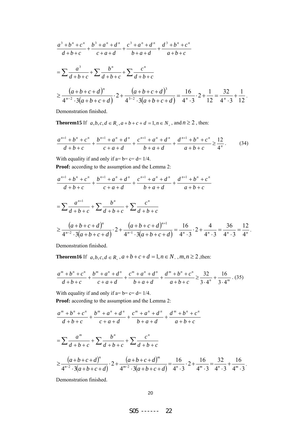$$
\frac{a^3 + b^n + c^n}{d + b + c} + \frac{b^3 + a^n + d^n}{c + a + d} + \frac{c^3 + a^n + d^n}{b + a + d} + \frac{d^3 + b^n + c^n}{a + b + c}
$$
\n
$$
= \sum \frac{a^3}{d + b + c} + \sum \frac{b^n}{d + b + c} + \sum \frac{c^n}{d + b + c}
$$
\n
$$
\geq \frac{(a + b + c + d)^n}{4^{n-2} \cdot 3(a + b + c + d)} \cdot 2 + \frac{(a + b + c + d)^3}{4^{3-2} \cdot 3(a + b + c + d)} = \frac{16}{4^n \cdot 3} \cdot 2 + \frac{1}{12} = \frac{32}{4^n \cdot 3} + \frac{1}{12}.
$$

Demonstration finished.

**Theorem15** If *a*,*b*,*c*,*d* ∈ *R*<sub>+</sub>, $a + b + c + d = 1$ , $n \in N_+$ , and  $n \ge 2$ , then:

$$
\frac{a^{n+1} + b^n + c^n}{d+b+c} + \frac{b^{n+1} + a^n + d^n}{c+a+d} + \frac{c^{n+1} + a^n + d^n}{b+a+d} + \frac{d^{n+1} + b^n + c^n}{a+b+c} \ge \frac{12}{4^n}.
$$
 (34)

With equality if and only if  $a = b = c = d = 1/4$ .

**Proof:** according to the assumption and the Lemma 2:

$$
\frac{a^{n+1} + b^n + c^n}{d + b + c} + \frac{b^{n+1} + a^n + d^n}{c + a + d} + \frac{c^{n+1} + a^n + d^n}{b + a + d} + \frac{d^{n+1} + b^n + c^n}{a + b + c}
$$
\n
$$
= \sum \frac{a^{n+1}}{d + b + c} + \sum \frac{b^n}{d + b + c} + \sum \frac{c^n}{d + b + c}
$$
\n
$$
\geq \frac{(a + b + c + d)^n}{4^{n-2} \cdot 3(a + b + c + d)} \cdot 2 + \frac{(a + b + c + d)^{n+1}}{4^{n-1} \cdot 3(a + b + c + d)} = \frac{16}{4^n \cdot 3} \cdot 2 + \frac{4}{4^n \cdot 3} = \frac{36}{4^n \cdot 3} = \frac{12}{4^n}.
$$

Demonstration finished.

**Theorem16** If  $a, b, c, d \in R_+$ ,  $a+b+c+d=1$ ,  $n \in N_+$ ,  $m, n \ge 2$ , then:

$$
\frac{a^m + b^n + c^n}{d + b + c} + \frac{b^m + a^n + d^n}{c + a + d} + \frac{c^m + a^n + d^n}{b + a + d} + \frac{d^m + b^n + c^n}{a + b + c} \ge \frac{32}{3 \cdot 4^n} + \frac{16}{3 \cdot 4^m} \tag{35}
$$

With equality if and only if  $a = b = c = d = 1/4$ . **Proof:** according to the assumption and the Lemma 2:

$$
\frac{a^m + b^n + c^n}{d + b + c} + \frac{b^m + a^n + d^n}{c + a + d} + \frac{c^m + a^n + d^n}{b + a + d} + \frac{d^m + b^n + c^n}{a + b + c}
$$
\n
$$
= \sum \frac{a^m}{d + b + c} + \sum \frac{b^n}{d + b + c} + \sum \frac{c^n}{d + b + c}
$$
\n
$$
\geq \frac{(a + b + c + d)^n}{4^{n-2} \cdot 3(a + b + c + d)} \cdot 2 + \frac{(a + b + c + d)^m}{4^{m-2} \cdot 3(a + b + c + d)} = \frac{16}{4^n \cdot 3} \cdot 2 + \frac{16}{4^m \cdot 3} = \frac{32}{4^n \cdot 3} + \frac{16}{4^m \cdot 3}.
$$

Demonstration finished.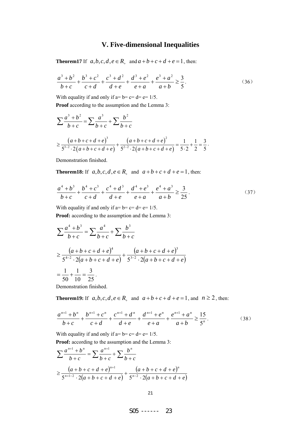## **V. Five-dimensional Inequalities**

**Theorem17** If  $a, b, c, d, e \in R_+$  and  $a+b+c+d+e=1$ , then:

$$
\frac{a^3 + b^2}{b+c} + \frac{b^3 + c^2}{c+d} + \frac{c^3 + d^2}{d+e} + \frac{d^3 + e^2}{e+a} + \frac{e^3 + a^2}{a+b} \ge \frac{3}{5}.
$$
 (36)

With equality if and only if  $a= b = c = d = e = 1/5$ .

**Proof** according to the assumption and the Lemma 3:

$$
\sum \frac{a^3 + b^2}{b + c} = \sum \frac{a^3}{b + c} + \sum \frac{b^2}{b + c}
$$
  
\n
$$
\geq \frac{(a + b + c + d + e)^3}{5^{3-2} \cdot 2(a + b + c + d + e)} + \frac{(a + b + c + d + e)^2}{5^{2-2} \cdot 2(a + b + c + d + e)} = \frac{1}{5 \cdot 2} + \frac{1}{2} = \frac{3}{5}.
$$

Demonstration finished.

**Theorem18:** If  $a, b, c, d, e \in R_+$  and  $a+b+c+d+e=1$ , then:

$$
\frac{a^4 + b^3}{b+c} + \frac{b^4 + c^3}{c+d} + \frac{c^4 + d^3}{d+e} + \frac{d^4 + e^3}{e+a} + \frac{e^4 + a^3}{a+b} \ge \frac{3}{25}.
$$
 (37)

With equality if and only if  $a= b = c = d = e = 1/5$ . Proof: according to the assumption and the Lemma 3:

$$
\sum \frac{a^4 + b^3}{b + c} = \sum \frac{a^4}{b + c} + \sum \frac{b^3}{b + c}
$$
  
\n
$$
\ge \frac{(a + b + c + d + e)^4}{5^{4-2} \cdot 2(a + b + c + d + e)} + \frac{(a + b + c + d + e)^3}{5^{3-2} \cdot 2(a + b + c + d + e)}
$$
  
\n
$$
= \frac{1}{50} + \frac{1}{10} = \frac{3}{25}.
$$

monstration finished.

**Theorem19:** If *a*,*b*,*c*,*d*,*e* ∈ *R*<sub>+</sub> and *a* + *b* + *c* + *d* + *e* = 1, and *n* ≥ 2, then:

$$
\frac{a^{n+1} + b^n}{b+c} + \frac{b^{n+1} + c^n}{c+d} + \frac{c^{n+1} + d^n}{d+e} + \frac{d^{n+1} + e^n}{e+a} + \frac{e^{n+1} + a^n}{a+b} \ge \frac{15}{5^n}.
$$
 (38)

With equality if and only if  $a=b=c= d=e= 1/5$ .

**Proof:** according to the assumption and the Lemma 3:

$$
\sum \frac{a^{n+1} + b^n}{b+c} = \sum \frac{a^{n+1}}{b+c} + \sum \frac{b^n}{b+c}
$$
  
\n
$$
\geq \frac{(a+b+c+d+e)^{n+1}}{5^{n+1-2} \cdot 2(a+b+c+d+e)} + \frac{(a+b+c+d+e)^n}{5^{n-2} \cdot 2(a+b+c+d+e)}
$$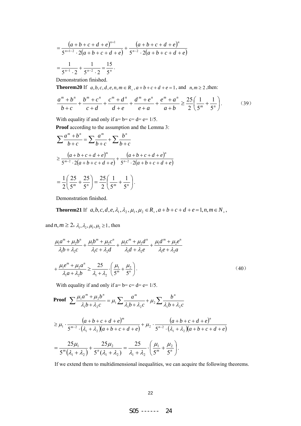$$
= \frac{(a+b+c+d+e)^{n+1}}{5^{n+1-2} \cdot 2(a+b+c+d+e)} + \frac{(a+b+c+d+e)^n}{5^{n-2} \cdot 2(a+b+c+d+e)}
$$
  
=  $\frac{1}{5^{n-1} \cdot 2} + \frac{1}{5^{n-2} \cdot 2} = \frac{15}{5^n}$ .

Demonstration finished.

**Theorem20** If  $a, b, c, d, e, n, m ∈ R<sub>+</sub>, a + b + c + d + e = 1$ , and  $n, m ≥ 2$ , then:

$$
\frac{a^m + b^n}{b+c} + \frac{b^m + c^n}{c+d} + \frac{c^m + d^n}{d+e} + \frac{d^m + e^n}{e+a} + \frac{e^m + a^n}{a+b} \ge \frac{25}{2} \left( \frac{1}{5^m} + \frac{1}{5^n} \right). \tag{39}
$$

With equality if and only if  $a= b = c = d = e = 1/5$ .

Proof according to the assumption and the Lemma 3:

$$
\sum \frac{a^m + b^n}{b + c} = \sum \frac{a^m}{b + c} + \sum \frac{b^n}{b + c}
$$
  
\n
$$
\geq \frac{(a + b + c + d + e)^m}{5^{m-2} \cdot 2(a + b + c + d + e)} + \frac{(a + b + c + d + e)^n}{5^{n-2} \cdot 2(a + b + c + d + e)}
$$
  
\n
$$
= \frac{1}{2} \left( \frac{25}{5^m} + \frac{25}{5^n} \right) = \frac{25}{2} \left( \frac{1}{5^m} + \frac{1}{5^n} \right).
$$

Demonstration finished.

**Theorem21** If  $a, b, c, d, e, \lambda_1, \lambda_2, \mu_1, \mu_2 \in R_+$ ,  $a+b+c+d+e=1$ ,  $n, m \in N_+$ ,

and  $n, m \geq 2$ ,  $\lambda_1, \lambda_2, \mu_1, \mu_2 \geq 1$ , then

$$
\frac{\mu_1 a^m + \mu_2 b^n}{\lambda_1 b + \lambda_2 c} + \frac{\mu_1 b^m + \mu_2 c^n}{\lambda_1 c + \lambda_2 d} + \frac{\mu_1 c^m + \mu_2 d^n}{\lambda_1 d + \lambda_2 e} + \frac{\mu_1 d^m + \mu_2 e^n}{\lambda_1 e + \lambda_2 a}
$$

$$
+ \frac{\mu_1 e^m + \mu_2 a^n}{\lambda_1 a + \lambda_2 b} \ge \frac{25}{\lambda_1 + \lambda_2} \cdot \left(\frac{\mu_1}{5^m} + \frac{\mu_2}{5^n}\right). \tag{40}
$$

With equality if and only if  $a= b = c = d = e = 1/5$ .

**Proof** 
$$
\sum \frac{\mu_1 a^m + \mu_2 b^n}{\lambda_1 b + \lambda_2 c} = \mu_1 \sum \frac{a^m}{\lambda_1 b + \lambda_2 c} + \mu_2 \sum \frac{b^n}{\lambda_1 b + \lambda_2 c}
$$

$$
\geq \mu_1 \cdot \frac{(a+b+c+d+e)^m}{5^{m-2} \cdot (\lambda_1 + \lambda_2)(a+b+c+d+e)} + \mu_2 \cdot \frac{(a+b+c+d+e)^n}{5^{n-2} \cdot (\lambda_1 + \lambda_2)(a+b+c+d+e)}
$$
  
= 
$$
\frac{25\mu_1}{5^m (\lambda_1 + \lambda_2)} + \frac{25\mu_2}{5^n (\lambda_1 + \lambda_2)} = \frac{25}{\lambda_1 + \lambda_2} \cdot \left(\frac{\mu_1}{5^m} + \frac{\mu_2}{5^n}\right).
$$

If we extend them to multidimensional inequalities, we can acquire the following theorems.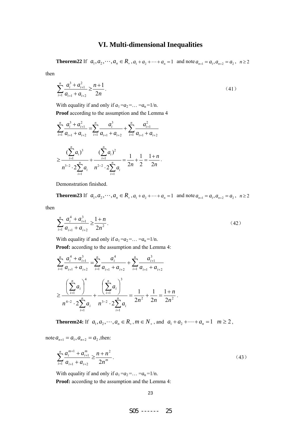### **VI. Multi-dimensional Inequalities**

**Theorem22** If  $a_1, a_2, \dots, a_n \in R_+$ ,  $a_1 + a_2 + \dots + a_n = 1$  and note  $a_{n+1} = a_1, a_{n+2} = a_2$ ,  $n \ge 2$ 

then

$$
\sum_{i=1}^{n} \frac{a_i^3 + a_{i+1}^2}{a_{i+1} + a_{i+2}} \ge \frac{n+1}{2n}.
$$
\n(41)

With equality if and only if  $a_1 = a_2 = \dots = a_n = 1/n$ .

**Proof** according to the assumption and the Lemma 4

$$
\sum_{i=1}^{n} \frac{a_i^3 + a_{i+1}^2}{a_{i+1} + a_{i+2}} = \sum_{i=1}^{n} \frac{a_i^3}{a_{i+1} + a_{i+2}} + \sum_{i=1}^{n} \frac{a_{i+1}^2}{a_{i+1} + a_{i+2}}
$$

$$
\geq \frac{\left(\sum_{i=1}^{n} a_i\right)^3}{n^{3-2} \cdot 2 \sum_{i=1}^{n} a_i} + \frac{\left(\sum_{i=1}^{n} a_i\right)^2}{n^{2-2} \cdot 2 \sum_{i=1}^{n} a_i} = \frac{1}{2n} + \frac{1}{2} = \frac{1+n}{2n}.
$$

Demonstration finished.

**Theorem23** If  $a_1, a_2, \dots, a_n \in R_+$ ,  $a_1 + a_2 + \dots + a_n = 1$  and note  $a_{n+1} = a_1, a_{n+2} = a_2$ ,  $n \ge 2$ 

then

$$
\sum_{i=1}^{n} \frac{a_i^4 + a_{i+1}^3}{a_{i+1} + a_{i+2}} \ge \frac{1+n}{2n^2}.
$$
 (42)

With equality if and only if  $a_1 = a_2 = \ldots = a_n = 1/n$ . **Proof:** according to the assumption and the Lemma 4:

$$
\sum_{i=1}^{n} \frac{a_i^4 + a_{i+1}^3}{a_{i+1} + a_{i+2}} = \sum_{i=1}^{n} \frac{a_i^4}{a_{i+1} + a_{i+2}} + \sum_{i=1}^{n} \frac{a_{i+1}^3}{a_{i+1} + a_{i+2}}
$$
  

$$
\geq \frac{\left(\sum_{i=1}^{n} a_i\right)^4}{n^{4-2} \cdot 2 \sum_{i=1}^{n} a_i} + \frac{\left(\sum_{i=1}^{n} a_i\right)^3}{n^{3-2} \cdot 2 \sum_{i=1}^{n} a_i} = \frac{1}{2n^2} + \frac{1}{2n} = \frac{1+n}{2n^2}.
$$

**Theorem24:** If  $a_1, a_2, \dots, a_n \in R_+$ ,  $m \in N_+$ , and  $a_1 + a_2 + \dots + a_n = 1$   $m \ge 2$ ,

note  $a_{n+1} = a_1, a_{n+2} = a_2$ , then:

$$
\sum_{i=1}^{n} \frac{a_i^{m+1} + a_{i+1}^m}{a_{i+1} + a_{i+2}} \ge \frac{n + n^2}{2n^m}.
$$
\n(43)

With equality if and only if  $a_1 = a_2 = \ldots = a_n = 1/n$ .

**Proof:** according to the assumption and the Lemma 4: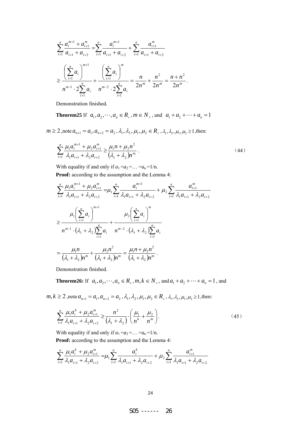$$
\sum_{i=1}^{n} \frac{a_i^{m+1} + a_{i+1}^m}{a_{i+1} + a_{i+2}} = \sum_{i=1}^{n} \frac{a_i^{m+1}}{a_{i+1} + a_{i+2}} + \sum_{i=1}^{n} \frac{a_{i+1}^m}{a_{i+1} + a_{i+2}}
$$
\n
$$
\geq \frac{\left(\sum_{i=1}^{n} a_i\right)^{m+1}}{n^{m-1} \cdot 2 \sum_{i=1}^{n} a_i} + \frac{\left(\sum_{i=1}^{n} a_i\right)^m}{n^{m-2} \cdot 2 \sum_{i=1}^{n} a_i} = \frac{n}{2n^m} + \frac{n^2}{2n^m} = \frac{n+n^2}{2n^m}.
$$

Demonstration finished.

**Theorem25** If  $a_1, a_2, \dots, a_n \in R_+$ ,  $m \in N_+$ , and  $a_1 + a_2 + \dots + a_n = 1$ 

 $m \ge 2$ , note  $a_{n+1} = a_1, a_{n+2} = a_2, \lambda_1, \lambda_2, \mu_1, \mu_2 \in R_+, \lambda_1, \lambda_2, \mu_1, \mu_2 \ge 1$ , then:

$$
\sum_{i=1}^{n} \frac{\mu_1 a_i^{m+1} + \mu_2 a_{i+1}^m}{\lambda_1 a_{i+1} + \lambda_2 a_{i+2}} \ge \frac{\mu_1 n + \mu_2 n^2}{(\lambda_1 + \lambda_2) n^m} \,. \tag{44}
$$

With equality if and only if  $a_1 = a_2 = \ldots = a_n = 1/n$ .

**Proof:** according to the assumption and the Lemma 4:

$$
\sum_{i=1}^{n} \frac{\mu_{1} a_{i}^{m+1} + \mu_{2} a_{i+1}^{m}}{\lambda_{1} a_{i+1} + \lambda_{2} a_{i+2}} = \mu_{1} \sum_{i=1}^{n} \frac{a_{i}^{m+1}}{\lambda_{1} a_{i+1} + \lambda_{2} a_{i+2}} + \mu_{2} \sum_{i=1}^{n} \frac{a_{i+1}^{m}}{\lambda_{1} a_{i+1} + \lambda_{2} a_{i+2}}
$$
\n
$$
\geq \frac{\mu_{1} \left(\sum_{i=1}^{n} a_{i}\right)^{m+1}}{n^{m-1} \cdot \left(\lambda_{1} + \lambda_{2}\right) \sum_{i=1}^{n} a_{i}} + \frac{\mu_{2} \left(\sum_{i=1}^{n} a_{i}\right)^{m}}{n^{m-2} \cdot \left(\lambda_{1} + \lambda_{2}\right) \sum_{i=1}^{n} a_{i}}
$$
\n
$$
= \frac{\mu_{1} n}{\left(\lambda_{1} + \lambda_{2}\right) n^{m}} + \frac{\mu_{2} n^{2}}{\left(\lambda_{1} + \lambda_{2}\right) n^{m}} = \frac{\mu_{1} n + \mu_{2} n^{2}}{\left(\lambda_{1} + \lambda_{2}\right) n^{m}}.
$$

Demonstration finished.

**Theorem26:** If  $a_1, a_2, \dots, a_n \in R_+$ ,  $m, k \in N_+$ , and  $a_1 + a_2 + \dots + a_n = 1$ , and

 $m, k \ge 2$ , note  $a_{n+1} = a_1, a_{n+2} = a_2, \lambda_1, \lambda_2, \mu_1, \mu_2 \in R_+, \lambda_1, \lambda_2, \mu_1, \mu_2 \ge 1$ , then:

$$
\sum_{i=1}^{n} \frac{\mu_1 a_i^k + \mu_2 a_{i+1}^m}{\lambda_1 a_{i+1} + \lambda_2 a_{i+2}} \ge \frac{n^2}{\left(\lambda_1 + \lambda_2\right)} \cdot \left(\frac{\mu_1}{n^k} + \frac{\mu_2}{n^m}\right).
$$
\n(45)

With equality if and only if  $a_1 = a_2 = \ldots = a_n = 1/n$ .

**Proof:** according to the assumption and the Lemma 4:

$$
\sum_{i=1}^{n} \frac{\mu_1 a_i^k + \mu_2 a_{i+1}^m}{\lambda_1 a_{i+1} + \lambda_2 a_{i+2}} = \mu_1 \sum_{i=1}^{n} \frac{a_i^k}{\lambda_1 a_{i+1} + \lambda_2 a_{i+2}} + \mu_2 \sum_{i=1}^{n} \frac{a_{i+1}^m}{\lambda_1 a_{i+1} + \lambda_2 a_{i+2}}
$$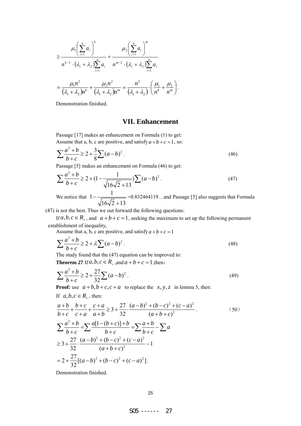$$
\geq \frac{\mu_1 \left(\sum_{i=1}^n a_i\right)^k}{n^{k-2} \cdot (\lambda_1 + \lambda_2) \sum_{i=1}^n a_i} + \frac{\mu_2 \left(\sum_{i=1}^n a_i\right)^m}{n^{m-2} \cdot (\lambda_1 + \lambda_2) \sum_{i=1}^n a_i}
$$

$$
= \frac{\mu_1 n^2}{(\lambda_1 + \lambda_2) n^k} + \frac{\mu_2 n^2}{(\lambda_1 + \lambda_2) n^m} = \frac{n^2}{(\lambda_1 + \lambda_2)} \cdot \left(\frac{\mu_1}{n^k} + \frac{\mu_2}{n^m}\right).
$$

Demonstration finished.

### **VII. Enhancement**

Passage [17] makes an enhancement on Formula (1) to get: Assume that a, b, c are positive, and satisfy  $a+b+c=1$ , so:

$$
\sum \frac{a^2 + b}{b + c} \ge 2 + \frac{3}{8} \sum (a - b)^2
$$
 (46)

Passage [5] makes an enhancement on Formula (46) to get:

$$
\sum \frac{a^2 + b}{b + c} \ge 2 + (1 - \frac{1}{\sqrt{16\sqrt{2} + 13}}) \sum (a - b)^2.
$$
 (47)

We notice that  $1 - \frac{1}{\sqrt{1 - \frac{1}{\sqrt{1 - \frac{1}{\sqrt{1 + \frac{1}{\sqrt{1 + \frac{1}{\sqrt{1 + \frac{1}{\sqrt{1 + \frac{1}{\sqrt{1 + \frac{1}{\sqrt{1 + \frac{1}{\sqrt{1 + \frac{1}{\sqrt{1 + \frac{1}{\sqrt{1 + \frac{1}{\sqrt{1 + \frac{1}{\sqrt{1 + \frac{1}{\sqrt{1 + \frac{1}{\sqrt{1 + \frac{1}{\sqrt{1 + \frac{1}{\sqrt{1 + \frac{1}{\sqrt{1 + \frac{1}{\sqrt{1 + \frac{1}{\sqrt{1 + \frac{$  $16\sqrt{2} + 13$ − + =0.832464119…and Passage [5] also suggests that Formula

(47) is not the best. Thus we out forward the following questions:

If  $a, b, c \in R_+$ , and  $a+b+c=1$ , seeking the maximum to set up the following permanent establishment of inequality,

Assume that a, b, c are positive, and satisfy  $a+b+c=1$ 

$$
\sum \frac{a^2 + b}{b + c} \ge 2 + \lambda \sum (a - b)^2.
$$
 (48)

The study found that the (47) equation can be improved to:

**Theorem 27** If  $a, b, c \in R_+$ , and  $a + b + c = 1$ , then:

$$
\sum \frac{a^2 + b}{b + c} \ge 2 + \frac{27}{32} \sum (a - b)^2
$$
 (49)

**Proof:** use  $a+b$ ,  $b+c$ ,  $c+a$  to replace the *x*, *y*, *z* in lemma 5, then:

$$
\frac{a+b}{b+c} + \frac{b+c}{c+a} + \frac{c+a}{a+b} \ge 3 + \frac{27}{32} \cdot \frac{(a-b)^2 + (b-c)^2 + (c-a)^2}{(a+b+c)^2}
$$
\n
$$
\sum \frac{a^2 + b}{b+c} = \sum \frac{a[1-(b+c)]+b}{b+c} = \sum \frac{a+b}{b+c} - \sum a
$$
\n
$$
\ge 3 + \frac{27}{32} \cdot \frac{(a-b)^2 + (b-c)^2 + (c-a)^2}{(a+b+c)^2} - 1
$$
\n
$$
= 2 + \frac{27}{32}[(a-b)^2 + (b-c)^2 + (c-a)^2].
$$

Demonstration finished.

If  $a, b, c \in R_+$ , then: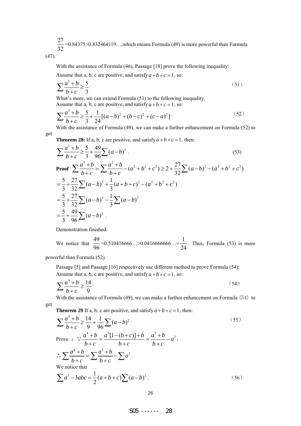27  $\frac{27}{32}$  =0.84375>0.832464119…, which means Formula (49) is more powerful than Formula

(47).

With the assistance of Formula (46), Passage [18] prove the following inequality:

Assume that a, b, c are positive, and satisfy  $a+b+c=1$ , so:

$$
\sum \frac{a^3 + b}{b + c} \ge \frac{5}{3} \tag{51}
$$

What's more, we can extend Formula (51) to the following inequality, Assume that a, b, c are positive, and satisfy  $a+b+c=1$ , so:

$$
\sum \frac{a^3 + b}{b + c} \ge \frac{5}{3} + \frac{1}{24} [(a - b)^2 + (b - c)^2 + (c - a)^2] \tag{52}
$$

With the assistance of Formula (49), we can make a further enhancement on Formula (52) to get

**Theorem 28:** If a, b, c are positive, and satisfy  $a+b+c=1$ , then:

$$
\sum \frac{a^3 + b}{b + c} \ge \frac{5}{3} + \frac{49}{96} \sum (a - b)^2
$$
\nProof 
$$
\sum \frac{a^3 + b}{b + c} = \sum \frac{a^2 + b}{b + c} - (a^2 + b^2 + c^2) \ge 2 + \frac{27}{32} \sum (a - b)^2 - (a^2 + b^2 + c^2)
$$
\n
$$
= \frac{5}{3} + \frac{27}{32} \sum (a - b)^2 + \frac{1}{3} (a + b + c)^2 - (a^2 + b^2 + c^2)
$$
\n
$$
= \frac{5}{3} + \frac{27}{32} \sum (a - b)^2 - \frac{1}{3} \sum (a - b)^2
$$
\n
$$
= \frac{5}{3} + \frac{49}{96} \sum (a - b)^2
$$

Demonstration finished.

We notice that  $\frac{49}{15}$ 96  $=0.510416666...>0.0416666666...=\frac{1}{2}$  $\frac{1}{24}$ . Thus, Formula (53) is more

powerful than Formula (52).

Passage [5] and Passage [16] respectively use different method to prove Formula (54): Assume that a, b, c are positive, and satisfy  $a+b+c=1$ , so:

$$
\sum \frac{a^4 + b}{b + c} \ge \frac{14}{9} \tag{54}
$$

With the assistance of Formula (49), we can make a further enhancement on Formula (54) to get

**Theorem 29** If a, b, c are positive, and satisfy  $a + b + c = 1$ , then:

$$
\sum \frac{a^4 + b}{b + c} \ge \frac{14}{9} + \frac{1}{96} \sum (a - b)^2
$$
  
\nProve : 
$$
\therefore \frac{a^4 + b}{b + c} = \frac{a^3 [1 - (b + c)] + b}{b + c} = \frac{a^3 + b}{b + c} - a^3,
$$
  
\n
$$
\therefore \sum \frac{a^4 + b}{b + c} = \sum \frac{a^3 + b}{b + c} - \sum a^3.
$$
  
\nWe notice that  
\n
$$
\sum a^3 - 3abc = \frac{1}{2}(a + b + c) \sum (a - b)^2.
$$
 (56)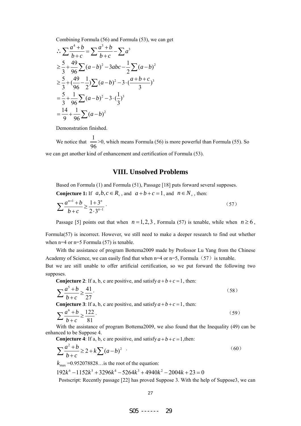Combining Formula (56) and Formula (53), we can get

$$
\begin{aligned}\n\therefore \sum \frac{a^4 + b}{b + c} &= \sum \frac{a^3 + b}{b + c} - \sum a^3 \\
&\ge \frac{5}{3} + \frac{49}{96} \sum (a - b)^2 - 3abc - \frac{1}{2} \sum (a - b)^2 \\
&\ge \frac{5}{3} + (\frac{49}{96} - \frac{1}{2}) \sum (a - b)^2 - 3 \cdot (\frac{a + b + c}{3})^3 \\
&= \frac{5}{3} + \frac{1}{96} \sum (a - b)^2 - 3 \cdot (\frac{1}{3})^3 \\
&= \frac{14}{9} + \frac{1}{96} \sum (a - b)^2\n\end{aligned}
$$

Demonstration finished.

We notice that  $\frac{1}{2}$  $\frac{1}{96}$  >0, which means Formula (56) is more powerful than Formula (55). So we can get another kind of enhancement and certification of Formula (53).

#### **VIII. Unsolved Problems**

Based on Formula (1) and Formula (51), Passage [18] puts forward several supposes.

**Conjecture 1:** If  $a, b, c \in R_+$ , and  $a+b+c=1$ , and  $n \in N_+$ , then:

$$
\sum \frac{a^{n+1} + b}{b + c} \ge \frac{1 + 3^n}{2 \cdot 3^{n-1}}.
$$
\n(57)

Passage [5] points out that when  $n = 1, 2, 3$ , Formula (57) is tenable, while when  $n \ge 6$ ,

Formula(57) is incorrect. However, we still need to make a deeper research to find out whether when n=4 or n=5 Formula (57) is tenable.

With the assistance of program Bottema2009 made by Professor Lu Yang from the Chinese Academy of Science, we can easily find that when  $n=4$  or  $n=5$ , Formula (57) is tenable.

But we are still unable to offer artificial certification, so we put forward the following two supposes.

**Conjecture 2**: If a, b, c are positive, and satisfy  $a+b+c=1$ , then:

$$
\sum \frac{a^5 + b}{b + c} \ge \frac{41}{27} \tag{58}
$$

**Conjecture 3**: If a, b, c are positive, and satisfy  $a+b+c=1$ , then:

$$
\sum \frac{a^6 + b}{b + c} \ge \frac{122}{81} \tag{59}
$$

With the assistance of program Bottema2009, we also found that the Inequality (49) can be enhanced to be Suppose 4.

**Conjecture 4**: If a, b, c are positive, and satisfy  $a+b+c=1$ , then:

$$
\sum \frac{a^2 + b}{b + c} \ge 2 + k \sum (a - b)^2
$$
 (60)

 $k_{\text{max}} = 0.952078828...$  is the root of the equation:

$$
192k^6 - 1152k^5 + 3296k^4 - 5264k^3 + 4940k^2 - 2004k + 23 = 0
$$

Postscript: Recently passage [22] has proved Suppose 3. With the help of Suppose3, we can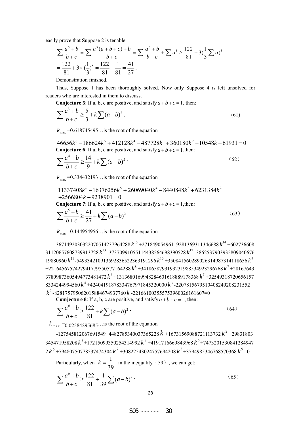easily prove that Suppose 2 is tenable.

$$
\sum \frac{a^5 + b}{b + c} = \sum \frac{a^5(a + b + c) + b}{b + c} = \sum \frac{a^6 + b}{b + c} + \sum a^5 \ge \frac{122}{81} + 3(\frac{1}{3}\sum a)^5
$$
  
=  $\frac{122}{81} + 3 \times (\frac{1}{3})^5 = \frac{122}{81} + \frac{1}{81} = \frac{41}{27}$ .

Demonstration finished.

Thus, Suppose 1 has been thoroughly solved. Now only Suppose 4 is left unsolved for readers who are interested in them to discuss.

**Conjecture 5**: If a, b, c are positive, and satisfy  $a+b+c=1$ , then:

$$
\sum \frac{a^3 + b}{b + c} \ge \frac{5}{3} + k \sum (a - b)^2
$$
 (61)

 $k_{\text{max}} = 0.618745495...$  is the root of the equation

 $46656k^6 - 186624k^5 + 412128k^4 - 487728k^3 + 360180k^2 - 10548k - 61931 = 0$ **Conjecture 6**: If a, b, c are positive, and satisfy  $a + b + c = 1$ , then:

$$
\sum \frac{a^4 + b}{b + c} \ge \frac{14}{9} + k \sum (a - b)^2
$$
 (62)

 $k_{\text{max}} = 0.334432193...$  is the root of the equation

$$
11337408k^{6} - 16376256k^{5} + 26069040k^{4} - 8440848k^{3} + 6231384k^{2}
$$
  
+2566804k - 9238901 = 0

**Conjecture 7**: If a, b, c are positive, and satisfy  $a+b+c=1$ , then:

$$
\sum \frac{a^5 + b}{b + c} \ge \frac{41}{27} + k \sum (a - b)^2
$$
 (63)

 $k_{\text{max}} = 0.144954956...$  is the root of the equation

 <sup>15</sup> *k* +27184905496119281369311346688 <sup>14</sup> *k* +602736608 <sup>13</sup> *k* -37370991055114438564698390528 <sup>12</sup> *k* -3862537903935809040676 <sup>11</sup> *k* -549334210913592836522363191296 <sup>10</sup> *k* +350841560289026314987314118656 <sup>9</sup> *k* +2216456757427941779550577164288 <sup>8</sup> *k* +3418658793193231988534923296768 <sup>7</sup> *k* +28167643 <sup>6</sup> *k* +1313680169948284601618889178368 <sup>5</sup> *k* +32549318720656157 <sup>4</sup> *k* +42404191878334767971845320000 <sup>3</sup> *k* -2207815679510408249208231552 *k* -828175795062015884674937760 *k* -221661003555753960026161607=0

**Comjecture 8**: If a, b, c are positive, and satisfy  $a + b + c = 1$ , then:

$$
\sum \frac{a^6 + b}{b + c} \ge \frac{122}{81} + k \sum (a - b)^2
$$
 (64)

 $k_{\text{max}} = 0.02584295685...$  is the root of the equation

 $-127545812067691549+4482785340037365228 k +16731569088721113732 k^2 + 29831803$ 345471958208 <sup>3</sup> *k* +17215099350254314992 <sup>4</sup> *k* +4191716669843968 <sup>5</sup> *k* +7473201530841284947  $2 k^6$  +79480750778537474304  $k^7$  +30822543024757694208  $k^8$  +3794985346768570368  $k^9$  =0

Particularly, when  $k = \frac{1}{2}$ 39  $k = \frac{1}{20}$  in the inequality (59), we can get:

$$
\sum \frac{a^6 + b}{b + c} \ge \frac{122}{81} + \frac{1}{39} \sum (a - b)^2
$$
 (65)